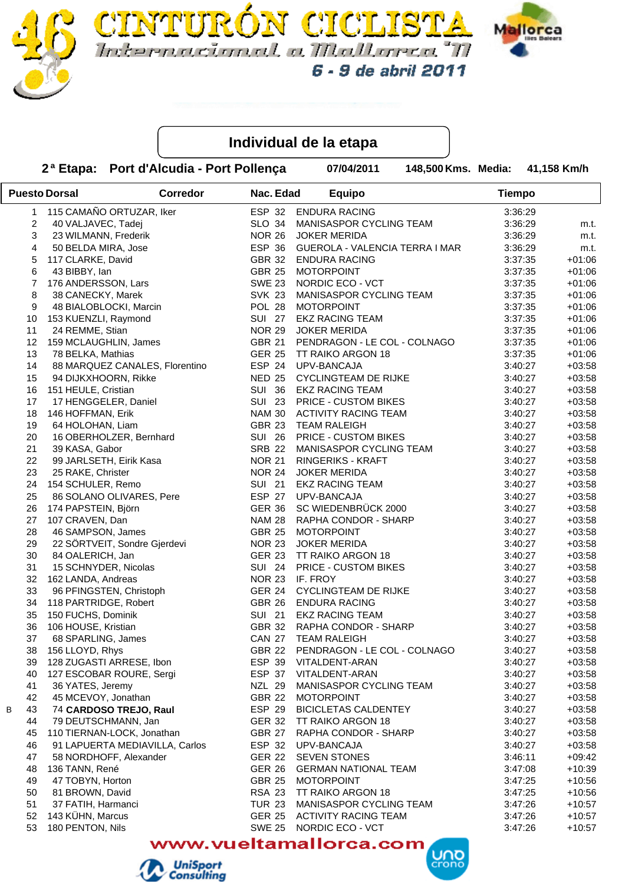



TURON CICLI

2<sup>a</sup> Etapa: Port d'Alcudia - Port Pollença **87/04/2011** 

148,500 Kms. Media: 41,158 Km/h

|                         | <b>Puesto Dorsal</b>           | <b>Corredor</b> | Nac. Edad     | <b>Equipo</b>                  | <b>Tiempo</b> |          |
|-------------------------|--------------------------------|-----------------|---------------|--------------------------------|---------------|----------|
| 1                       | 115 CAMAÑO ORTUZAR, Iker       |                 | ESP 32        | <b>ENDURA RACING</b>           | 3:36:29       |          |
| $\overline{\mathbf{c}}$ | 40 VALJAVEC, Tadej             |                 | <b>SLO 34</b> | MANISASPOR CYCLING TEAM        | 3:36:29       | m.t.     |
| 3                       | 23 WILMANN, Frederik           |                 | <b>NOR 26</b> | <b>JOKER MERIDA</b>            | 3:36:29       | m.t.     |
| 4                       | 50 BELDA MIRA, Jose            |                 | ESP 36        | GUEROLA - VALENCIA TERRA I MAR | 3:36:29       | m.t.     |
| 5                       | 117 CLARKE, David              |                 | <b>GBR 32</b> | <b>ENDURA RACING</b>           | 3:37:35       | $+01:06$ |
| 6                       | 43 BIBBY, Ian                  |                 | <b>GBR 25</b> | <b>MOTORPOINT</b>              | 3:37:35       | $+01:06$ |
| $\overline{7}$          | 176 ANDERSSON, Lars            |                 | <b>SWE 23</b> | NORDIC ECO - VCT               | 3:37:35       | $+01:06$ |
| 8                       | 38 CANECKY, Marek              |                 | <b>SVK 23</b> | MANISASPOR CYCLING TEAM        | 3:37:35       | $+01:06$ |
| 9                       | 48 BIALOBLOCKI, Marcin         |                 | POL 28        | <b>MOTORPOINT</b>              | 3:37:35       | $+01:06$ |
| 10                      | 153 KUENZLI, Raymond           |                 | <b>SUI 27</b> | <b>EKZ RACING TEAM</b>         | 3:37:35       | $+01:06$ |
| 11                      | 24 REMME, Stian                |                 | <b>NOR 29</b> | <b>JOKER MERIDA</b>            | 3:37:35       | $+01:06$ |
| 12                      | 159 MCLAUGHLIN, James          |                 | <b>GBR 21</b> | PENDRAGON - LE COL - COLNAGO   | 3:37:35       | $+01:06$ |
| 13                      | 78 BELKA, Mathias              |                 | <b>GER 25</b> | TT RAIKO ARGON 18              | 3:37:35       | $+01:06$ |
| 14                      | 88 MARQUEZ CANALES, Florentino |                 | ESP 24        | UPV-BANCAJA                    | 3:40:27       | $+03:58$ |
| 15                      | 94 DIJKXHOORN, Rikke           |                 | <b>NED 25</b> | <b>CYCLINGTEAM DE RIJKE</b>    | 3:40:27       | $+03:58$ |
| 16                      | 151 HEULE, Cristian            |                 | <b>SUI 36</b> | <b>EKZ RACING TEAM</b>         | 3:40:27       | $+03:58$ |
| 17                      | 17 HENGGELER, Daniel           |                 | <b>SUI 23</b> | <b>PRICE - CUSTOM BIKES</b>    | 3:40:27       | $+03:58$ |
| 18                      | 146 HOFFMAN, Erik              |                 |               | NAM 30 ACTIVITY RACING TEAM    | 3:40:27       | $+03:58$ |
| 19                      | 64 HOLOHAN, Liam               |                 | GBR 23        | <b>TEAM RALEIGH</b>            | 3:40:27       | $+03:58$ |
| 20                      | 16 OBERHOLZER, Bernhard        |                 | <b>SUI 26</b> | <b>PRICE - CUSTOM BIKES</b>    | 3:40:27       | $+03:58$ |
| 21                      | 39 KASA, Gabor                 |                 | <b>SRB 22</b> | MANISASPOR CYCLING TEAM        | 3:40:27       | $+03:58$ |
| 22                      | 99 JARLSETH, Eirik Kasa        |                 | <b>NOR 21</b> | RINGERIKS - KRAFT              | 3:40:27       | $+03:58$ |
| 23                      | 25 RAKE, Christer              |                 | <b>NOR 24</b> | <b>JOKER MERIDA</b>            | 3:40:27       | $+03:58$ |
| 24                      | 154 SCHULER, Remo              |                 | <b>SUI 21</b> | <b>EKZ RACING TEAM</b>         | 3:40:27       | $+03:58$ |
| 25                      | 86 SOLANO OLIVARES, Pere       |                 | ESP 27        | UPV-BANCAJA                    | 3:40:27       | $+03:58$ |
| 26                      | 174 PAPSTEIN, Björn            |                 | <b>GER 36</b> | SC WIEDENBRÜCK 2000            | 3:40:27       | $+03:58$ |
| 27                      | 107 CRAVEN, Dan                |                 | <b>NAM 28</b> | RAPHA CONDOR - SHARP           | 3:40:27       | $+03:58$ |
| 28                      | 46 SAMPSON, James              |                 | <b>GBR 25</b> | <b>MOTORPOINT</b>              | 3:40:27       | $+03:58$ |
| 29                      | 22 SÖRTVEIT, Sondre Gjerdevi   |                 | <b>NOR 23</b> | <b>JOKER MERIDA</b>            | 3:40:27       | $+03:58$ |
| 30                      | 84 OALERICH, Jan               |                 | <b>GER 23</b> | TT RAIKO ARGON 18              | 3:40:27       | $+03:58$ |
| 31                      | 15 SCHNYDER, Nicolas           |                 | <b>SUI 24</b> | PRICE - CUSTOM BIKES           | 3:40:27       | $+03:58$ |
| 32                      | 162 LANDA, Andreas             |                 | <b>NOR 23</b> | IF. FROY                       | 3:40:27       | $+03:58$ |
| 33                      | 96 PFINGSTEN, Christoph        |                 | <b>GER 24</b> | <b>CYCLINGTEAM DE RIJKE</b>    | 3:40:27       | $+03:58$ |
| 34                      | 118 PARTRIDGE, Robert          |                 | GBR 26        | <b>ENDURA RACING</b>           | 3:40:27       | $+03:58$ |
| 35                      | 150 FUCHS, Dominik             |                 | <b>SUI 21</b> | <b>EKZ RACING TEAM</b>         | 3:40:27       | $+03:58$ |
| 36                      | 106 HOUSE, Kristian            |                 |               | GBR 32 RAPHA CONDOR - SHARP    | 3:40:27       | $+03:58$ |
| 37                      | 68 SPARLING, James             |                 | <b>CAN 27</b> | <b>TEAM RALEIGH</b>            | 3:40:27       | $+03:58$ |
| 38                      | 156 LLOYD, Rhys                |                 | <b>GBR 22</b> | PENDRAGON - LE COL - COLNAGO   | 3:40:27       | $+03:58$ |
| 39                      | 128 ZUGASTI ARRESE, Ibon       |                 |               | ESP 39 VITALDENT-ARAN          | 3:40:27       | $+03:58$ |
| 40                      | 127 ESCOBAR ROURE, Sergi       |                 | ESP 37        | VITALDENT-ARAN                 | 3:40:27       | $+03:58$ |
| 41                      | 36 YATES, Jeremy               |                 | NZL 29        | MANISASPOR CYCLING TEAM        | 3:40:27       | $+03:58$ |
| 42                      | 45 MCEVOY, Jonathan            |                 | <b>GBR 22</b> | <b>MOTORPOINT</b>              | 3:40:27       | $+03:58$ |
| 43<br>В                 | 74 CARDOSO TREJO, Raul         |                 | ESP 29        | <b>BICICLETAS CALDENTEY</b>    | 3:40:27       | $+03:58$ |
| 44                      | 79 DEUTSCHMANN, Jan            |                 | <b>GER 32</b> | TT RAIKO ARGON 18              | 3:40:27       | $+03:58$ |
| 45                      | 110 TIERNAN-LOCK, Jonathan     |                 | GBR 27        | RAPHA CONDOR - SHARP           | 3:40:27       | $+03:58$ |
| 46                      | 91 LAPUERTA MEDIAVILLA, Carlos |                 | ESP 32        | UPV-BANCAJA                    | 3:40:27       | $+03:58$ |
| 47                      | 58 NORDHOFF, Alexander         |                 | <b>GER 22</b> | <b>SEVEN STONES</b>            | 3:46:11       | $+09:42$ |
| 48                      | 136 TANN, René                 |                 | <b>GER 26</b> | <b>GERMAN NATIONAL TEAM</b>    | 3:47:08       | $+10:39$ |
| 49                      | 47 TOBYN, Horton               |                 | <b>GBR 25</b> | <b>MOTORPOINT</b>              | 3:47:25       | $+10:56$ |
| 50                      | 81 BROWN, David                |                 | <b>RSA 23</b> | TT RAIKO ARGON 18              | 3:47:25       | $+10:56$ |
| 51                      | 37 FATIH, Harmanci             |                 | <b>TUR 23</b> | MANISASPOR CYCLING TEAM        | 3:47:26       | $+10:57$ |
| 52                      | 143 KÜHN, Marcus               |                 |               | GER 25 ACTIVITY RACING TEAM    | 3:47:26       | $+10:57$ |
| 53                      | 180 PENTON, Nils               |                 | <b>SWE 25</b> | NORDIC ECO - VCT               | 3:47:26       | $+10:57$ |

# www.vueltamallorca.com **UND**

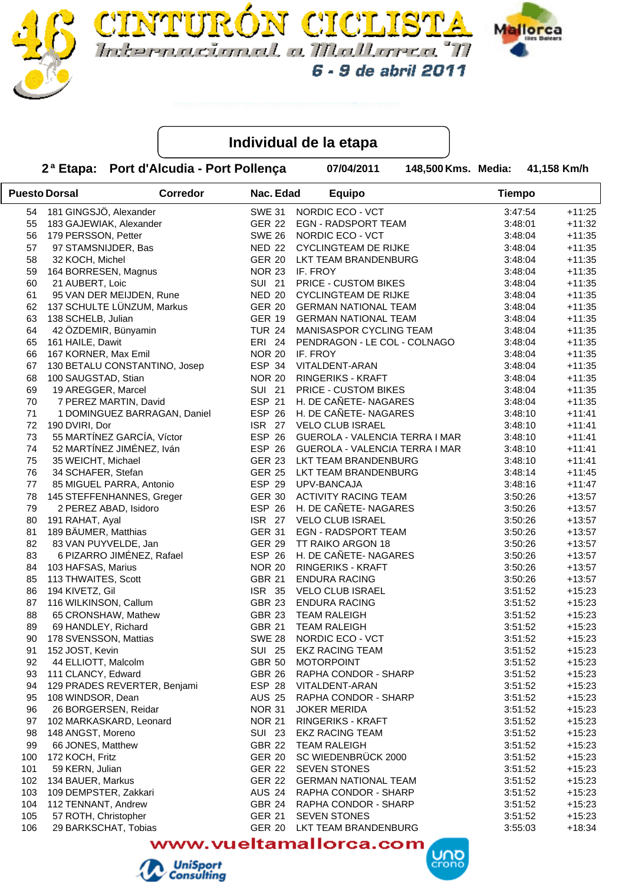



**FURÓN CICLIS** 

 **2 Port d'Alcudia - Port Pollença ª Etapa: 07/04/2011 Media: Km/h**

**148,500 Kms. Media:** 

|     | <b>Puesto Dorsal</b>          | <b>Corredor</b> | Nac. Edad     | <b>Equipo</b>                                      | <b>Tiempo</b> |          |
|-----|-------------------------------|-----------------|---------------|----------------------------------------------------|---------------|----------|
|     | 54 181 GINGSJÖ, Alexander     |                 | <b>SWE 31</b> | NORDIC ECO - VCT                                   | 3:47:54       | $+11:25$ |
| 55  | 183 GAJEWIAK, Alexander       |                 | <b>GER 22</b> | EGN - RADSPORT TEAM                                | 3:48:01       | $+11:32$ |
| 56  | 179 PERSSON, Petter           |                 |               | SWE 26 NORDIC ECO - VCT                            | 3:48:04       | $+11:35$ |
| 57  | 97 STAMSNIJDER, Bas           |                 |               | NED 22 CYCLINGTEAM DE RIJKE                        | 3:48:04       | $+11:35$ |
| 58  | 32 KOCH, Michel               |                 |               | GER 20 LKT TEAM BRANDENBURG                        | 3:48:04       | $+11:35$ |
| 59  | 164 BORRESEN, Magnus          |                 |               | NOR 23 IF. FROY                                    | 3:48:04       | $+11:35$ |
| 60  | 21 AUBERT, Loic               |                 |               | SUI 21 PRICE - CUSTOM BIKES                        | 3:48:04       | $+11:35$ |
| 61  | 95 VAN DER MEIJDEN, Rune      |                 |               | NED 20 CYCLINGTEAM DE RIJKE                        | 3:48:04       | $+11:35$ |
| 62  | 137 SCHULTE LÜNZUM, Markus    |                 |               | GER 20 GERMAN NATIONAL TEAM                        | 3:48:04       | $+11:35$ |
| 63  | 138 SCHELB, Julian            |                 |               | GER 19 GERMAN NATIONAL TEAM                        | 3:48:04       | $+11:35$ |
| 64  | 42 ÖZDEMIR, Bünyamin          |                 | <b>TUR 24</b> | MANISASPOR CYCLING TEAM                            | 3:48:04       | $+11:35$ |
| 65  | 161 HAILE, Dawit              |                 |               | ERI 24 PENDRAGON - LE COL - COLNAGO                | 3:48:04       | $+11:35$ |
| 66  | 167 KORNER, Max Emil          |                 | <b>NOR 20</b> | IF. FROY                                           | 3:48:04       | $+11:35$ |
| 67  | 130 BETALU CONSTANTINO, Josep |                 |               | ESP 34 VITALDENT-ARAN                              | 3:48:04       | $+11:35$ |
| 68  | 100 SAUGSTAD, Stian           |                 |               | NOR 20 RINGERIKS - KRAFT                           | 3:48:04       | $+11:35$ |
| 69  | 19 AREGGER, Marcel            |                 |               | SUI 21 PRICE - CUSTOM BIKES                        | 3:48:04       | $+11:35$ |
| 70  | 7 PEREZ MARTIN, David         |                 |               | ESP 21 H. DE CAÑETE- NAGARES                       | 3:48:04       | $+11:35$ |
| 71  | 1 DOMINGUEZ BARRAGAN, Daniel  |                 |               | ESP 26 H. DE CAÑETE-NAGARES                        | 3:48:10       | $+11:41$ |
| 72  | 190 DVIRI, Dor                |                 |               | ISR 27 VELO CLUB ISRAEL                            | 3:48:10       | $+11:41$ |
| 73  | 55 MARTÍNEZ GARCÍA, Víctor    |                 |               | ESP 26 GUEROLA - VALENCIA TERRA I MAR              | 3:48:10       | $+11:41$ |
| 74  | 52 MARTÍNEZ JIMÉNEZ, Iván     |                 |               | ESP 26 GUEROLA - VALENCIA TERRA I MAR              | 3:48:10       | $+11:41$ |
| 75  | 35 WEICHT, Michael            |                 |               | GER 23 LKT TEAM BRANDENBURG                        | 3:48:10       | $+11:41$ |
| 76  | 34 SCHAFER, Stefan            |                 |               | GER 25 LKT TEAM BRANDENBURG                        | 3:48:14       | $+11:45$ |
| 77  | 85 MIGUEL PARRA, Antonio      |                 |               | ESP 29 UPV-BANCAJA                                 | 3:48:16       | $+11:47$ |
| 78  | 145 STEFFENHANNES, Greger     |                 |               | GER 30 ACTIVITY RACING TEAM                        | 3:50:26       | $+13:57$ |
| 79  | 2 PEREZ ABAD, Isidoro         |                 |               | ESP 26 H. DE CAÑETE- NAGARES                       | 3:50:26       | $+13:57$ |
| 80  | 191 RAHAT, Ayal               |                 |               | ISR 27 VELO CLUB ISRAEL                            | 3:50:26       | $+13:57$ |
| 81  | 189 BÄUMER, Matthias          |                 |               | GER 31 EGN - RADSPORT TEAM                         | 3:50:26       | $+13:57$ |
| 82  | 83 VAN PUYVELDE, Jan          |                 | <b>GER 29</b> | TT RAIKO ARGON 18                                  | 3:50:26       | $+13:57$ |
| 83  | 6 PIZARRO JIMÉNEZ, Rafael     |                 |               | ESP 26 H. DE CAÑETE-NAGARES                        | 3:50:26       | $+13:57$ |
| 84  | 103 HAFSAS, Marius            |                 |               | NOR 20 RINGERIKS - KRAFT                           | 3:50:26       | $+13:57$ |
| 85  | 113 THWAITES, Scott           |                 | <b>GBR 21</b> | <b>ENDURA RACING</b>                               | 3:50:26       | $+13:57$ |
| 86  | 194 KIVETZ, Gil               |                 |               | ISR 35 VELO CLUB ISRAEL                            | 3:51:52       | $+15:23$ |
| 87  | 116 WILKINSON, Callum         |                 |               | GBR 23 ENDURA RACING                               | 3:51:52       | $+15:23$ |
| 88  | 65 CRONSHAW, Mathew           |                 |               | GBR 23 TEAM RALEIGH                                | 3:51:52       | $+15:23$ |
| 89  | 69 HANDLEY, Richard           |                 | <b>GBR 21</b> | <b>TEAM RALEIGH</b>                                | 3:51:52       | $+15:23$ |
| 90  | 178 SVENSSON, Mattias         |                 | <b>SWE 28</b> | NORDIC ECO - VCT                                   | 3:51:52       | $+15:23$ |
| 91  | 152 JOST, Kevin               |                 | <b>SUI 25</b> | <b>EKZ RACING TEAM</b>                             | 3:51:52       | $+15:23$ |
| 92  | 44 ELLIOTT, Malcolm           |                 | <b>GBR 50</b> | <b>MOTORPOINT</b>                                  | 3:51:52       | $+15:23$ |
| 93  | 111 CLANCY, Edward            |                 | GBR 26        | RAPHA CONDOR - SHARP                               | 3:51:52       | $+15:23$ |
| 94  | 129 PRADES REVERTER, Benjami  |                 | ESP 28        | VITALDENT-ARAN                                     | 3:51:52       | $+15:23$ |
| 95  | 108 WINDSOR, Dean             |                 | <b>AUS 25</b> | RAPHA CONDOR - SHARP                               | 3:51:52       | $+15:23$ |
| 96  | 26 BORGERSEN, Reidar          |                 | <b>NOR 31</b> | <b>JOKER MERIDA</b>                                | 3:51:52       | $+15:23$ |
| 97  | 102 MARKASKARD, Leonard       |                 | <b>NOR 21</b> | RINGERIKS - KRAFT                                  | 3:51:52       | $+15:23$ |
|     |                               |                 | <b>SUI 23</b> |                                                    |               |          |
| 98  | 148 ANGST, Moreno             |                 |               | <b>EKZ RACING TEAM</b><br><b>TEAM RALEIGH</b>      | 3:51:52       | $+15:23$ |
| 99  | 66 JONES, Matthew             |                 | <b>GBR 22</b> | SC WIEDENBRÜCK 2000                                | 3:51:52       | $+15:23$ |
| 100 | 172 KOCH, Fritz               |                 | <b>GER 20</b> |                                                    | 3:51:52       | $+15:23$ |
| 101 | 59 KERN, Julian               |                 |               | GER 22 SEVEN STONES<br>GER 22 GERMAN NATIONAL TEAM | 3:51:52       | $+15:23$ |
| 102 | 134 BAUER, Markus             |                 |               |                                                    | 3:51:52       | $+15:23$ |
| 103 | 109 DEMPSTER, Zakkari         |                 |               | AUS 24 RAPHA CONDOR - SHARP                        | 3:51:52       | $+15:23$ |
| 104 | 112 TENNANT, Andrew           |                 |               | GBR 24 RAPHA CONDOR - SHARP                        | 3:51:52       | $+15:23$ |
| 105 | 57 ROTH, Christopher          |                 | <b>GER 21</b> | <b>SEVEN STONES</b>                                | 3:51:52       | $+15:23$ |
| 106 | 29 BARKSCHAT, Tobias          |                 | <b>GER 20</b> | LKT TEAM BRANDENBURG                               | 3:55:03       | $+18:34$ |

www.vueltamallorca.com



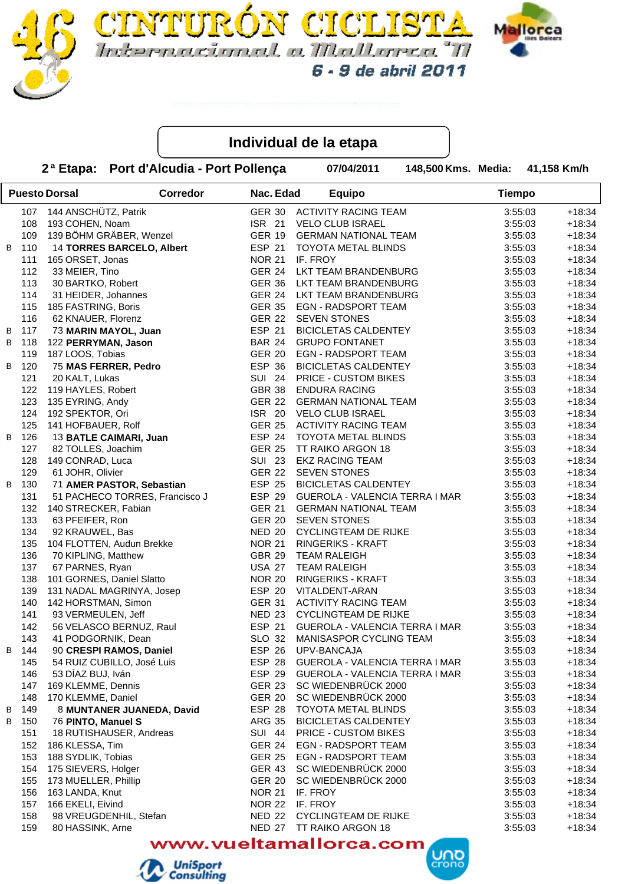



**FURON CICLI** 

2<sup>a</sup> Etapa: Port d'Alcudia - Port Pollença **87/04/2011** 

148,500 Kms. Media: 41,158 Km/h

**UND** 

|   |     | <b>Puesto Dorsal</b>      | <b>Corredor</b>                | Nac. Edad     |          | <b>Equipo</b>                         | <b>Tiempo</b> |          |
|---|-----|---------------------------|--------------------------------|---------------|----------|---------------------------------------|---------------|----------|
|   | 107 | 144 ANSCHÜTZ, Patrik      |                                | <b>GER 30</b> |          | <b>ACTIVITY RACING TEAM</b>           | 3:55:03       | $+18:34$ |
|   | 108 | 193 COHEN, Noam           |                                | <b>ISR 21</b> |          | VELO CLUB ISRAEL                      | 3:55:03       | $+18:34$ |
|   | 109 |                           | 139 BÖHM GRÄBER, Wenzel        | GER 19        |          | <b>GERMAN NATIONAL TEAM</b>           | 3:55:03       | $+18:34$ |
| B | 110 |                           | 14 TORRES BARCELO, Albert      | <b>ESP 21</b> |          | <b>TOYOTA METAL BLINDS</b>            | 3:55:03       | $+18:34$ |
|   | 111 | 165 ORSET, Jonas          |                                | <b>NOR 21</b> | IF. FROY |                                       | 3:55:03       | $+18:34$ |
|   | 112 | 33 MEIER, Tino            |                                | GER 24        |          | LKT TEAM BRANDENBURG                  | 3:55:03       | $+18:34$ |
|   | 113 | 30 BARTKO, Robert         |                                |               |          | GER 36 LKT TEAM BRANDENBURG           | 3:55:03       | $+18:34$ |
|   | 114 | 31 HEIDER, Johannes       |                                |               |          | GER 24 LKT TEAM BRANDENBURG           | 3:55:03       | $+18:34$ |
|   | 115 | 185 FASTRING, Boris       |                                |               |          | GER 35 EGN - RADSPORT TEAM            | 3:55:03       | $+18:34$ |
|   | 116 | 62 KNAUER, Florenz        |                                |               |          | GER 22 SEVEN STONES                   | 3:55:03       | $+18:34$ |
| B | 117 | 73 MARIN MAYOL, Juan      |                                | ESP 21        |          | <b>BICICLETAS CALDENTEY</b>           | 3:55:03       | $+18:34$ |
| B | 118 | 122 PERRYMAN, Jason       |                                | <b>BAR 24</b> |          | <b>GRUPO FONTANET</b>                 | 3:55:03       | $+18:34$ |
|   | 119 | 187 LOOS, Tobias          |                                |               |          | GER 20 EGN - RADSPORT TEAM            | 3:55:03       | $+18:34$ |
| B | 120 | 75 MAS FERRER, Pedro      |                                | ESP 36        |          | <b>BICICLETAS CALDENTEY</b>           | 3:55:03       | $+18:34$ |
|   | 121 | 20 KALT, Lukas            |                                |               |          | SUI 24 PRICE - CUSTOM BIKES           | 3:55:03       | $+18:34$ |
|   | 122 | 119 HAYLES, Robert        |                                |               |          | GBR 38 ENDURA RACING                  | 3:55:03       | $+18:34$ |
|   | 123 | 135 EYRING, Andy          |                                |               |          | GER 22 GERMAN NATIONAL TEAM           | 3:55:03       | $+18:34$ |
|   | 124 | 192 SPEKTOR, Ori          |                                |               |          | ISR 20 VELO CLUB ISRAEL               | 3:55:03       | $+18:34$ |
|   | 125 | 141 HOFBAUER, Rolf        |                                |               |          | GER 25 ACTIVITY RACING TEAM           | 3:55:03       | $+18:34$ |
| В | 126 |                           | 13 BATLE CAIMARI, Juan         |               |          | ESP 24 TOYOTA METAL BLINDS            | 3:55:03       | $+18:34$ |
|   | 127 | 82 TOLLES, Joachim        |                                | <b>GER 25</b> |          | TT RAIKO ARGON 18                     | 3:55:03       | $+18:34$ |
|   | 128 | 149 CONRAD, Luca          |                                | <b>SUI 23</b> |          | <b>EKZ RACING TEAM</b>                | 3:55:03       | $+18:34$ |
|   | 129 | 61 JOHR, Olivier          |                                | <b>GER 22</b> |          | <b>SEVEN STONES</b>                   | 3:55:03       | $+18:34$ |
| B | 130 |                           | 71 AMER PASTOR, Sebastian      |               |          | ESP 25 BICICLETAS CALDENTEY           | 3:55:03       | $+18:34$ |
|   | 131 |                           | 51 PACHECO TORRES, Francisco J |               |          | ESP 29 GUEROLA - VALENCIA TERRA I MAR | 3:55:03       | $+18:34$ |
|   | 132 | 140 STRECKER, Fabian      |                                | <b>GER 21</b> |          | <b>GERMAN NATIONAL TEAM</b>           | 3:55:03       | $+18:34$ |
|   | 133 | 63 PFEIFER, Ron           |                                | <b>GER 20</b> |          | <b>SEVEN STONES</b>                   | 3:55:03       | $+18:34$ |
|   | 134 | 92 KRAUWEL, Bas           |                                | <b>NED 20</b> |          | <b>CYCLINGTEAM DE RIJKE</b>           | 3:55:03       | $+18:34$ |
|   | 135 |                           | 104 FLOTTEN, Audun Brekke      | <b>NOR 21</b> |          | <b>RINGERIKS - KRAFT</b>              | 3:55:03       | $+18:34$ |
|   | 136 | 70 KIPLING, Matthew       |                                | <b>GBR 29</b> |          | <b>TEAM RALEIGH</b>                   | 3:55:03       | $+18:34$ |
|   | 137 | 67 PARNES, Ryan           |                                | <b>USA 27</b> |          | <b>TEAM RALEIGH</b>                   | 3:55:03       | $+18:34$ |
|   | 138 | 101 GORNES, Daniel Slatto |                                | <b>NOR 20</b> |          | RINGERIKS - KRAFT                     | 3:55:03       | $+18:34$ |
|   | 139 |                           |                                |               |          | ESP 20 VITALDENT-ARAN                 |               |          |
|   |     | 142 HORSTMAN, Simon       | 131 NADAL MAGRINYA, Josep      | <b>GER 31</b> |          |                                       | 3:55:03       | $+18:34$ |
|   | 140 |                           |                                |               |          | <b>ACTIVITY RACING TEAM</b>           | 3:55:03       | $+18:34$ |
|   | 141 | 93 VERMEULEN, Jeff        |                                |               |          | NED 23 CYCLINGTEAM DE RIJKE           | 3:55:03       | $+18:34$ |
|   | 142 |                           | 56 VELASCO BERNUZ, Raul        | ESP 21        |          | GUEROLA - VALENCIA TERRA I MAR        | 3:55:03       | $+18:34$ |
|   | 143 | 41 PODGORNIK, Dean        |                                | SLO 32        |          | MANISASPOR CYCLING TEAM               | 3:55:03       | $+18:34$ |
| В | 144 |                           | 90 CRESPI RAMOS, Daniel        |               |          | ESP 26 UPV-BANCAJA                    | 3:55:03       | $+18:34$ |
|   | 145 |                           | 54 RUIZ CUBILLO, José Luis     | ESP 28        |          | GUEROLA - VALENCIA TERRA I MAR        | 3:55:03       | $+18:34$ |
|   | 146 | 53 DÍAZ BUJ, Iván         |                                | <b>ESP 29</b> |          | GUEROLA - VALENCIA TERRA I MAR        | 3:55:03       | $+18:34$ |
|   | 147 | 169 KLEMME, Dennis        |                                | <b>GER 23</b> |          | SC WIEDENBRÜCK 2000                   | 3:55:03       | $+18:34$ |
|   | 148 | 170 KLEMME, Daniel        |                                | <b>GER 20</b> |          | SC WIEDENBRÜCK 2000                   | 3:55:03       | $+18:34$ |
| B | 149 |                           | 8 MUNTANER JUANEDA, David      | <b>ESP 28</b> |          | <b>TOYOTA METAL BLINDS</b>            | 3:55:03       | $+18:34$ |
| В | 150 | 76 PINTO, Manuel S        |                                | <b>ARG 35</b> |          | <b>BICICLETAS CALDENTEY</b>           | 3:55:03       | $+18:34$ |
|   | 151 |                           | 18 RUTISHAUSER, Andreas        | <b>SUI 44</b> |          | PRICE - CUSTOM BIKES                  | 3:55:03       | $+18:34$ |
|   | 152 | 186 KLESSA, Tim           |                                | <b>GER 24</b> |          | <b>EGN - RADSPORT TEAM</b>            | 3:55:03       | $+18:34$ |
|   | 153 | 188 SYDLIK, Tobias        |                                | <b>GER 25</b> |          | <b>EGN - RADSPORT TEAM</b>            | 3:55:03       | $+18:34$ |
|   | 154 | 175 SIEVERS, Holger       |                                | <b>GER 43</b> |          | SC WIEDENBRÜCK 2000                   | 3:55:03       | $+18:34$ |
|   | 155 | 173 MUELLER, Phillip      |                                | <b>GER 20</b> |          | SC WIEDENBRÜCK 2000                   | 3:55:03       | $+18:34$ |
|   | 156 | 163 LANDA, Knut           |                                | <b>NOR 21</b> | IF. FROY |                                       | 3:55:03       | $+18:34$ |
|   | 157 | 166 EKELI, Eivind         |                                | <b>NOR 22</b> | IF. FROY |                                       | 3:55:03       | $+18:34$ |
|   | 158 |                           | 98 VREUGDENHIL, Stefan         | <b>NED 22</b> |          | <b>CYCLINGTEAM DE RIJKE</b>           | 3:55:03       | $+18:34$ |
|   | 159 | 80 HASSINK, Arne          |                                | <b>NED 27</b> |          | TT RAIKO ARGON 18                     | 3:55:03       | $+18:34$ |
|   |     |                           |                                |               | -----    |                                       |               |          |

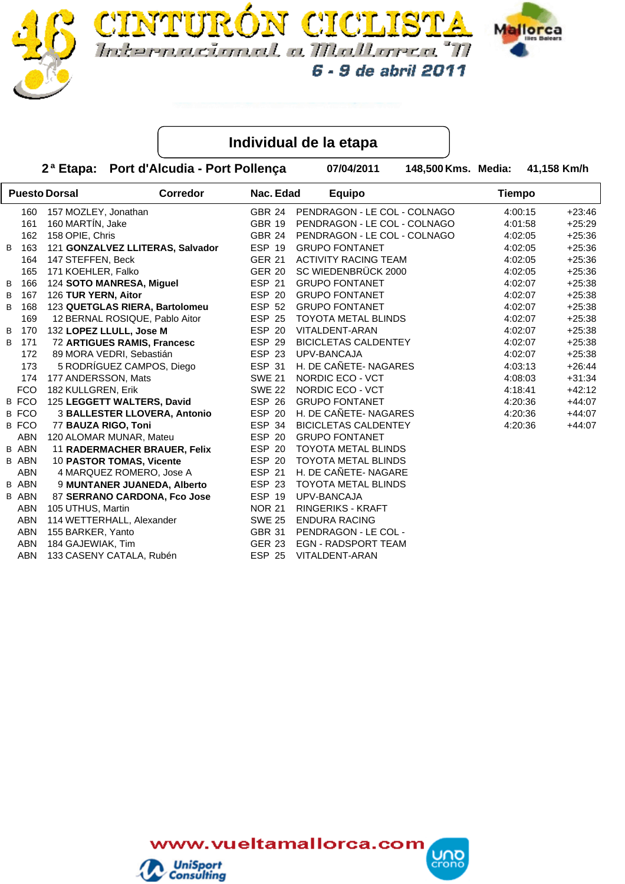



**FURÓN CICLIS** 

 **2 Port d'Alcudia - Port Pollença ª Etapa: 07/04/2011 Media: Km/h**

6 - 9 de abril 2011

**148,500 Kms. Media:** 

|   |              | <b>Puesto Dorsal</b>    | Corredor                         | Nac. Edad     | <b>Equipo</b>                | <b>Tiempo</b> |          |
|---|--------------|-------------------------|----------------------------------|---------------|------------------------------|---------------|----------|
|   | 160          | 157 MOZLEY, Jonathan    |                                  | GBR 24        | PENDRAGON - LE COL - COLNAGO | 4:00:15       | $+23:46$ |
|   | 161          | 160 MARTÍN, Jake        |                                  | <b>GBR 19</b> | PENDRAGON - LE COL - COLNAGO | 4:01:58       | $+25:29$ |
|   | 162          | 158 OPIE, Chris         |                                  | <b>GBR 24</b> | PENDRAGON - LE COL - COLNAGO | 4:02:05       | $+25:36$ |
| В | 163          |                         | 121 GONZALVEZ LLITERAS, Salvador | <b>ESP 19</b> | <b>GRUPO FONTANET</b>        | 4:02:05       | $+25:36$ |
|   | 164          | 147 STEFFEN, Beck       |                                  | <b>GER 21</b> | <b>ACTIVITY RACING TEAM</b>  | 4:02:05       | $+25:36$ |
|   | 165          | 171 KOEHLER, Falko      |                                  | <b>GER 20</b> | SC WIEDENBRÜCK 2000          | 4:02:05       | $+25:36$ |
| B | 166          |                         | 124 SOTO MANRESA, Miguel         | <b>ESP 21</b> | <b>GRUPO FONTANET</b>        | 4:02:07       | $+25:38$ |
| В | 167          | 126 TUR YERN, Aitor     |                                  | ESP 20        | <b>GRUPO FONTANET</b>        | 4:02:07       | $+25:38$ |
| В | 168          |                         | 123 QUETGLAS RIERA, Bartolomeu   | <b>ESP 52</b> | <b>GRUPO FONTANET</b>        | 4:02:07       | $+25:38$ |
|   | 169          |                         | 12 BERNAL ROSIQUE, Pablo Aitor   | ESP 25        | TOYOTA METAL BLINDS          | 4:02:07       | $+25:38$ |
| B | 170          | 132 LOPEZ LLULL, Jose M |                                  | ESP 20        | VITALDENT-ARAN               | 4:02:07       | $+25:38$ |
| B | 171          |                         | 72 ARTIGUES RAMIS, Francesc      | ESP 29        | <b>BICICLETAS CALDENTEY</b>  | 4:02:07       | $+25:38$ |
|   | 172          |                         | 89 MORA VEDRI, Sebastián         | ESP 23        | UPV-BANCAJA                  | 4:02:07       | $+25:38$ |
|   | 173          |                         | 5 RODRÍGUEZ CAMPOS, Diego        | <b>ESP 31</b> | H. DE CAÑETE- NAGARES        | 4:03:13       | $+26:44$ |
|   | 174          | 177 ANDERSSON, Mats     |                                  | <b>SWE 21</b> | NORDIC ECO - VCT             | 4:08:03       | $+31:34$ |
|   | <b>FCO</b>   | 182 KULLGREN, Erik      |                                  | <b>SWE 22</b> | NORDIC ECO - VCT             | 4:18:41       | $+42:12$ |
|   | B FCO        |                         | 125 LEGGETT WALTERS, David       | ESP 26        | <b>GRUPO FONTANET</b>        | 4:20:36       | $+44:07$ |
|   | B FCO        |                         | 3 BALLESTER LLOVERA, Antonio     | ESP 20        | H. DE CAÑETE- NAGARES        | 4:20:36       | $+44:07$ |
|   | B FCO        | 77 BAUZA RIGO, Toni     |                                  | ESP 34        | <b>BICICLETAS CALDENTEY</b>  | 4:20:36       | $+44:07$ |
|   | ABN          | 120 ALOMAR MUNAR, Mateu |                                  | ESP 20        | <b>GRUPO FONTANET</b>        |               |          |
|   | <b>B ABN</b> |                         | 11 RADERMACHER BRAUER, Felix     | ESP 20        | <b>TOYOTA METAL BLINDS</b>   |               |          |
|   | <b>B ABN</b> |                         | 10 PASTOR TOMAS, Vicente         | ESP 20        | <b>TOYOTA METAL BLINDS</b>   |               |          |
|   | ABN          |                         | 4 MARQUEZ ROMERO, Jose A         | <b>ESP 21</b> | H. DE CAÑETE- NAGARE         |               |          |
|   | <b>B ABN</b> |                         | 9 MUNTANER JUANEDA, Alberto      | ESP 23        | <b>TOYOTA METAL BLINDS</b>   |               |          |
|   | <b>B ABN</b> |                         | 87 SERRANO CARDONA, Fco Jose     | ESP 19        | UPV-BANCAJA                  |               |          |
|   | ABN          | 105 UTHUS, Martin       |                                  | <b>NOR 21</b> | <b>RINGERIKS - KRAFT</b>     |               |          |
|   | <b>ABN</b>   |                         | 114 WETTERHALL, Alexander        | <b>SWE 25</b> | <b>ENDURA RACING</b>         |               |          |
|   | ABN          | 155 BARKER, Yanto       |                                  | <b>GBR 31</b> | PENDRAGON - LE COL -         |               |          |
|   | <b>ABN</b>   | 184 GAJEWIAK, Tim       |                                  | GER 23        | <b>EGN - RADSPORT TEAM</b>   |               |          |
|   | ABN          |                         | 133 CASENY CATALA, Rubén         | ESP 25        | VITALDENT-ARAN               |               |          |

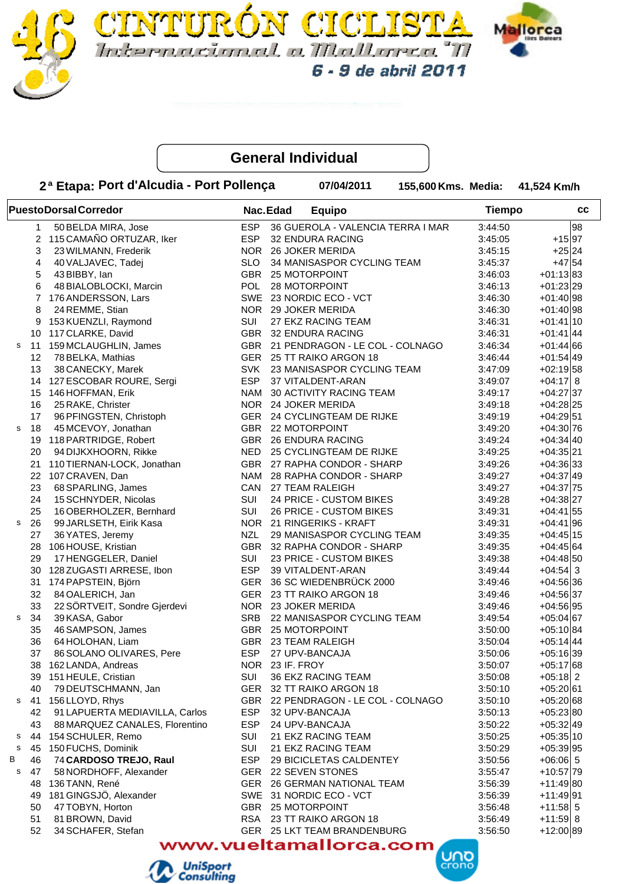



**IURÓN CICLIS** 

6 - 9 de abril 2011

Internacional a Mallanea "M

|   |    | 2ª Etapa: Port d'Alcudia - Port Pollença |            | 07/04/2011                        | 155,600 Kms. Media: |               | 41,524 Km/h  |
|---|----|------------------------------------------|------------|-----------------------------------|---------------------|---------------|--------------|
|   |    | <b>PuestoDorsalCorredor</b>              |            | Nac.Edad<br><b>Equipo</b>         |                     | <b>Tiempo</b> | СC           |
|   | 1  | 50 BELDA MIRA, Jose                      | <b>ESP</b> | 36 GUEROLA - VALENCIA TERRA I MAR |                     | 3:44:50       | 98           |
|   | 2  | 115 CAMAÑO ORTUZAR, Iker                 | <b>ESP</b> | 32 ENDURA RACING                  |                     | 3:45:05       | $+15 97$     |
|   | 3  | 23 WILMANN, Frederik                     | <b>NOR</b> | <b>26 JOKER MERIDA</b>            |                     | 3:45:15       | $+25 24$     |
|   | 4  | 40 VALJAVEC, Tadej                       | <b>SLO</b> | 34 MANISASPOR CYCLING TEAM        |                     | 3:45:37       | $+47$ 54     |
|   | 5  | 43 BIBBY, Ian                            | GBR        | 25 MOTORPOINT                     |                     | 3:46:03       | $+01:13 83$  |
|   | 6  | 48 BIALOBLOCKI, Marcin                   | POL        | 28 MOTORPOINT                     |                     | 3:46:13       | $+01:23$ 29  |
|   | 7  | 176 ANDERSSON, Lars                      | SWE        | 23 NORDIC ECO - VCT               |                     | 3:46:30       | $+01:40$ 98  |
|   | 8  | 24 REMME, Stian                          | <b>NOR</b> | 29 JOKER MERIDA                   |                     | 3:46:30       | $+01:40 98$  |
|   | 9  | 153 KUENZLI, Raymond                     | SUI        | 27 EKZ RACING TEAM                |                     | 3:46:31       | $+01:41 10$  |
|   | 10 | 117 CLARKE, David                        | GBR        | 32 ENDURA RACING                  |                     | 3:46:31       | $+01:41$ 44  |
| s | 11 | 159 MCLAUGHLIN, James                    | GBR        | 21 PENDRAGON - LE COL - COLNAGO   |                     | 3:46:34       | $+01:44 66$  |
|   | 12 | 78 BELKA, Mathias                        | GER        | 25 TT RAIKO ARGON 18              |                     | 3:46:44       | $+01:54 49$  |
|   | 13 | 38 CANECKY, Marek                        | <b>SVK</b> | 23 MANISASPOR CYCLING TEAM        |                     | 3:47:09       | $+02:19$ 58  |
|   | 14 | 127 ESCOBAR ROURE, Sergi                 | <b>ESP</b> | 37 VITALDENT-ARAN                 |                     | 3:49:07       | $+04:17$ 8   |
|   | 15 | 146 HOFFMAN, Erik                        | NAM        | <b>30 ACTIVITY RACING TEAM</b>    |                     | 3:49:17       | $+04:27$ 37  |
|   | 16 | 25 RAKE, Christer                        | <b>NOR</b> | 24 JOKER MERIDA                   |                     | 3:49:18       | $+04:28$  25 |
|   | 17 | 96 PFINGSTEN, Christoph                  | GER        | 24 CYCLINGTEAM DE RIJKE           |                     | 3:49:19       | $+04:29$ 51  |
| s | 18 | 45 MCEVOY, Jonathan                      | <b>GBR</b> | 22 MOTORPOINT                     |                     | 3:49:20       | $+04:30 76$  |
|   | 19 | 118 PARTRIDGE, Robert                    | GBR        | <b>26 ENDURA RACING</b>           |                     | 3:49:24       | $+04:34 40$  |
|   | 20 | 94 DIJKXHOORN, Rikke                     | <b>NED</b> | 25 CYCLINGTEAM DE RIJKE           |                     | 3:49:25       | $+04:35 21$  |
|   | 21 | 110 TIERNAN-LOCK, Jonathan               | <b>GBR</b> | 27 RAPHA CONDOR - SHARP           |                     | 3:49:26       | $+04:36 33$  |
|   |    | 22 107 CRAVEN, Dan                       | NAM        | 28 RAPHA CONDOR - SHARP           |                     | 3:49:27       | $+04:37 49$  |
|   | 23 | 68 SPARLING, James                       | CAN        | 27 TEAM RALEIGH                   |                     | 3:49:27       | $+04:37$ 75  |
|   | 24 | 15 SCHNYDER, Nicolas                     | SUI        | 24 PRICE - CUSTOM BIKES           |                     | 3:49:28       | $+04:38 27$  |
|   | 25 | 16 OBERHOLZER, Bernhard                  | SUI        | 26 PRICE - CUSTOM BIKES           |                     | 3:49:31       | $+04:41 55$  |
| s | 26 | 99 JARLSETH, Eirik Kasa                  | <b>NOR</b> | 21 RINGERIKS - KRAFT              |                     | 3:49:31       | $+04:41 96$  |
|   | 27 | 36 YATES, Jeremy                         | <b>NZL</b> | 29 MANISASPOR CYCLING TEAM        |                     | 3:49:35       | $+04:45$  15 |
|   | 28 | 106 HOUSE, Kristian                      | <b>GBR</b> | 32 RAPHA CONDOR - SHARP           |                     | 3:49:35       | $+04:45 64$  |
|   | 29 | 17 HENGGELER, Daniel                     | <b>SUI</b> | 23 PRICE - CUSTOM BIKES           |                     | 3:49:38       | $+04:48 50$  |
|   | 30 | 128 ZUGASTI ARRESE, Ibon                 | <b>ESP</b> | 39 VITALDENT-ARAN                 |                     | 3:49:44       | $+04:54$ 3   |
|   | 31 | 174 PAPSTEIN, Björn                      | <b>GER</b> | 36 SC WIEDENBRÜCK 2000            |                     | 3:49:46       | $+04:56 36$  |
|   | 32 | 84 OALERICH, Jan                         | <b>GER</b> | 23 TT RAIKO ARGON 18              |                     | 3:49:46       | $+04:56 37$  |
|   | 33 | 22 SÖRTVEIT, Sondre Gjerdevi             | NOR .      | 23 JOKER MERIDA                   |                     | 3:49:46       | $+04:56 95$  |
| s | 34 | 39 KASA, Gabor                           | <b>SRB</b> | 22 MANISASPOR CYCLING TEAM        |                     | 3:49:54       | $+05:04 67$  |
|   | 35 | 46 SAMPSON, James                        |            | GBR 25 MOTORPOINT                 |                     | 3:50:00       | $+05:10 84$  |
|   | 36 | 64 HOLOHAN, Liam                         | <b>GBR</b> | 23 TEAM RALEIGH                   |                     | 3:50:04       | $+05:14 44$  |
|   | 37 | 86 SOLANO OLIVARES, Pere                 | <b>ESP</b> | 27 UPV-BANCAJA                    |                     | 3:50:06       | $+05:16 39$  |
|   | 38 | 162 LANDA, Andreas                       | NOR        | 23 IF. FROY                       |                     | 3:50:07       | $+05:17 68$  |
|   | 39 | 151 HEULE, Cristian                      | SUI        | 36 EKZ RACING TEAM                |                     | 3:50:08       | $+05:18$ 2   |
|   | 40 | 79 DEUTSCHMANN, Jan                      | GER        | 32 TT RAIKO ARGON 18              |                     | 3:50:10       | $+05:20 61$  |
| s | 41 | 156 LLOYD, Rhys                          | <b>GBR</b> | 22 PENDRAGON - LE COL - COLNAGO   |                     | 3:50:10       | $+05:20 68$  |
|   | 42 | 91 LAPUERTA MEDIAVILLA, Carlos           | <b>ESP</b> | 32 UPV-BANCAJA                    |                     | 3:50:13       | $+05:23 80$  |
|   | 43 | 88 MARQUEZ CANALES, Florentino           | <b>ESP</b> | 24 UPV-BANCAJA                    |                     | 3:50:22       | $+05:32 49$  |
| s | 44 | 154 SCHULER, Remo                        | SUI        | 21 EKZ RACING TEAM                |                     | 3:50:25       | $+05:35 10$  |
| s | 45 | 150 FUCHS, Dominik                       | SUI        | 21 EKZ RACING TEAM                |                     | 3:50:29       | $+05:39 95$  |
| В | 46 | 74 CARDOSO TREJO, Raul                   | ESP.       | 29 BICICLETAS CALDENTEY           |                     | 3:50:56       | $+06:06$ 5   |
| s | 47 | 58 NORDHOFF, Alexander                   | GER        | 22 SEVEN STONES                   |                     | 3:55:47       | $+10:57$ 79  |
|   | 48 | 136 TANN, René                           | GER        | 26 GERMAN NATIONAL TEAM           |                     | 3:56:39       | $+11:49 80$  |
|   | 49 | 181 GINGSJÖ, Alexander                   | SWE        | 31 NORDIC ECO - VCT               |                     | 3:56:39       | $+11:49 91$  |
|   | 50 | 47 TOBYN, Horton                         | GBR        | <b>25 MOTORPOINT</b>              |                     | 3:56:48       | $+11:58$ 5   |
|   | 51 | 81 BROWN, David                          | RSA        | 23 TT RAIKO ARGON 18              |                     | 3:56:49       | $+11:59$ 8   |
|   | 52 | 34 SCHAFER, Stefan                       | GER        | 25 LKT TEAM BRANDENBURG           |                     | 3:56:50       | $+12:00 89$  |

www.vueltamallorca.com



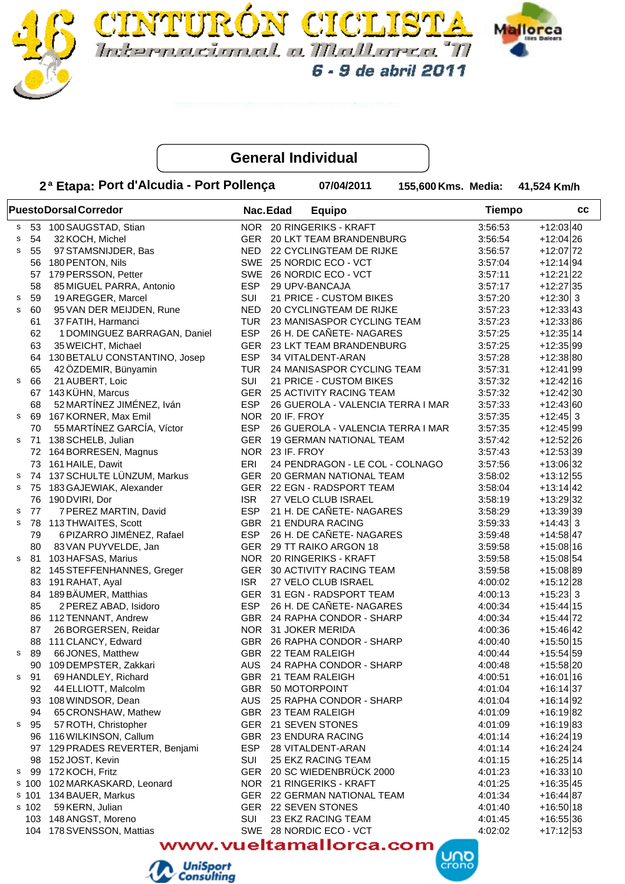



**FURÓN CICLIST** 

|             |       | 2ª Etapa: Port d'Alcudia - Port Pollença |            |                 | 07/04/2011                        | 155,600 Kms. Media: |               | 41,524 Km/h  |
|-------------|-------|------------------------------------------|------------|-----------------|-----------------------------------|---------------------|---------------|--------------|
|             |       | <b>PuestoDorsalCorredor</b>              |            | Nac.Edad        | <b>Equipo</b>                     |                     | <b>Tiempo</b> | cc           |
| s           |       | 53 100 SAUGSTAD, Stian                   |            |                 | NOR 20 RINGERIKS - KRAFT          |                     | 3:56:53       | $+12:03 40$  |
| s           | 54    | 32 KOCH, Michel                          |            |                 | GER 20 LKT TEAM BRANDENBURG       |                     | 3:56:54       | $+12:04$ 26  |
| s           | 55    | 97 STAMSNIJDER, Bas                      | <b>NED</b> |                 | 22 CYCLINGTEAM DE RIJKE           |                     | 3:56:57       | $+12:07$ 72  |
|             | 56    | 180 PENTON, Nils                         |            |                 | SWE 25 NORDIC ECO - VCT           |                     | 3:57:04       | $+12:14 94$  |
|             | 57    | 179 PERSSON, Petter                      | SWE        |                 | 26 NORDIC ECO - VCT               |                     | 3:57:11       | $+12:21$  22 |
|             | 58    | 85 MIGUEL PARRA, Antonio                 | <b>ESP</b> |                 | 29 UPV-BANCAJA                    |                     | 3:57:17       | $+12:27 35$  |
| s           | 59    | 19 AREGGER, Marcel                       | SUI        |                 | 21 PRICE - CUSTOM BIKES           |                     | 3:57:20       | $+12:30$ 3   |
| $\mathbf S$ | 60    | 95 VAN DER MEIJDEN, Rune                 | <b>NED</b> |                 | 20 CYCLINGTEAM DE RIJKE           |                     | 3:57:23       | $+12:33 43$  |
|             | 61    | 37 FATIH, Harmanci                       | TUR        |                 | 23 MANISASPOR CYCLING TEAM        |                     | 3:57:23       | $+12:33 86$  |
|             | 62    | 1 DOMINGUEZ BARRAGAN, Daniel             | <b>ESP</b> |                 | 26 H. DE CAÑETE- NAGARES          |                     | 3:57:25       | $+12:35 14$  |
|             | 63    | 35 WEICHT, Michael                       |            |                 | GER 23 LKT TEAM BRANDENBURG       |                     | 3:57:25       | $+12:35 99$  |
|             | 64    | 130 BETALU CONSTANTINO, Josep            | <b>ESP</b> |                 | 34 VITALDENT-ARAN                 |                     | 3:57:28       | $+12:38 80$  |
|             | 65    | 42 ÖZDEMIR, Bünyamin                     | TUR        |                 | 24 MANISASPOR CYCLING TEAM        |                     | 3:57:31       | $+12:41 99$  |
| s           | 66    | 21 AUBERT, Loic                          | <b>SUI</b> |                 | 21 PRICE - CUSTOM BIKES           |                     | 3:57:32       | $+12:42 16$  |
|             | 67    | 143 KÜHN, Marcus                         | <b>GER</b> |                 | 25 ACTIVITY RACING TEAM           |                     | 3:57:32       | $+12:42 30$  |
|             | 68    | 52 MARTÍNEZ JIMÉNEZ, Iván                | <b>ESP</b> |                 | 26 GUEROLA - VALENCIA TERRA I MAR |                     | 3:57:33       | $+12:43 60$  |
| s           | 69    | 167 KORNER, Max Emil                     | <b>NOR</b> | 20 IF. FROY     |                                   |                     | 3:57:35       | $+12:45$ 3   |
|             | 70    | 55 MARTÍNEZ GARCÍA, Víctor               | <b>ESP</b> |                 | 26 GUEROLA - VALENCIA TERRA I MAR |                     | 3:57:35       | $+12:45 99$  |
| s           |       | 71 138 SCHELB, Julian                    | <b>GER</b> |                 | <b>19 GERMAN NATIONAL TEAM</b>    |                     | 3:57:42       | $+12:52 26$  |
|             |       | 72 164 BORRESEN, Magnus                  |            | NOR 23 IF. FROY |                                   |                     | 3:57:43       | $+12:53 39$  |
|             |       | 73 161 HAILE, Dawit                      | ERI        |                 | 24 PENDRAGON - LE COL - COLNAGO   |                     | 3:57:56       | $+13:06 32$  |
| s           |       | 74 137 SCHULTE LÜNZUM, Markus            | <b>GER</b> |                 | 20 GERMAN NATIONAL TEAM           |                     | 3:58:02       | $+13:12$ 55  |
| s           | 75    | 183 GAJEWIAK, Alexander                  | GER        |                 | 22 EGN - RADSPORT TEAM            |                     | 3:58:04       | $+13:14$ 42  |
|             | 76    |                                          | <b>ISR</b> |                 |                                   |                     |               |              |
|             |       | 190 DVIRI, Dor                           |            |                 | 27 VELO CLUB ISRAEL               |                     | 3:58:19       | $+13:29$ 32  |
| s           | 77    | 7 PEREZ MARTIN, David                    | <b>ESP</b> |                 | 21 H. DE CAÑETE- NAGARES          |                     | 3:58:29       | $+13:39 39$  |
| s           | 78    | 113 THWAITES, Scott                      |            |                 | GBR 21 ENDURA RACING              |                     | 3:59:33       | $+14:43$ 3   |
|             | 79    | 6 PIZARRO JIMÉNEZ, Rafael                | <b>ESP</b> |                 | 26 H. DE CAÑETE- NAGARES          |                     | 3:59:48       | $+14:58 47$  |
|             | 80    | 83 VAN PUYVELDE, Jan                     | GER        |                 | 29 TT RAIKO ARGON 18              |                     | 3:59:58       | $+15:08 16$  |
| s           | 81    | 103 HAFSAS, Marius                       |            |                 | NOR 20 RINGERIKS - KRAFT          |                     | 3:59:58       | $+15:08$ 54  |
|             | 82    | 145 STEFFENHANNES, Greger                | GER        |                 | 30 ACTIVITY RACING TEAM           |                     | 3:59:58       | $+15:08 89$  |
|             | 83    | 191 RAHAT, Ayal                          | <b>ISR</b> |                 | 27 VELO CLUB ISRAEL               |                     | 4:00:02       | $+15:12$  28 |
|             | 84    | 189 BÄUMER, Matthias                     |            |                 | GER 31 EGN - RADSPORT TEAM        |                     | 4:00:13       | $+15:23$ 3   |
|             | 85    | 2 PEREZ ABAD, Isidoro                    | <b>ESP</b> |                 | 26 H. DE CAÑETE- NAGARES          |                     | 4:00:34       | $+15:44$ 15  |
|             | 86    | 112 TENNANT, Andrew                      | <b>GBR</b> |                 | 24 RAPHA CONDOR - SHARP           |                     | 4:00:34       | $+15:44$ 72  |
|             | 87    | 26 BORGERSEN, Reidar                     |            |                 | NOR 31 JOKER MERIDA               |                     | 4:00:36       | $+15:46$ 42  |
|             | 88    | 111 CLANCY, Edward                       |            |                 | GBR 26 RAPHA CONDOR - SHARP       |                     | 4:00:40       | $+15:50 15$  |
| s           | 89    | 66 JONES, Matthew                        |            |                 | GBR 22 TEAM RALEIGH               |                     | 4:00:44       | $+15:54 59$  |
|             | 90    | 109 DEMPSTER, Zakkari                    | AUS.       |                 | 24 RAPHA CONDOR - SHARP           |                     | 4:00:48       | $+15:58$  20 |
| s           | 91    | 69 HANDLEY, Richard                      |            |                 | GBR 21 TEAM RALEIGH               |                     | 4:00:51       | $+16:01 16$  |
|             | 92    | 44 ELLIOTT, Malcolm                      | GBR        |                 | 50 MOTORPOINT                     |                     | 4:01:04       | $+16:14 37$  |
|             | 93    | 108 WINDSOR, Dean                        | AUS.       |                 | 25 RAPHA CONDOR - SHARP           |                     | 4:01:04       | $+16:14 92$  |
|             | 94    | 65 CRONSHAW, Mathew                      |            |                 | GBR 23 TEAM RALEIGH               |                     | 4:01:09       | $+16:19 82$  |
| s           | 95    | 57 ROTH, Christopher                     |            |                 | GER 21 SEVEN STONES               |                     | 4:01:09       | $+16:19 83$  |
|             | 96    | 116 WILKINSON, Callum                    |            |                 | GBR 23 ENDURA RACING              |                     | 4:01:14       | $+16:24 19$  |
|             | 97    | 129 PRADES REVERTER, Benjami             | ESP        |                 | 28 VITALDENT-ARAN                 |                     | 4:01:14       | $+16:24$ 24  |
|             | 98    | 152 JOST, Kevin                          | SUI        |                 | 25 EKZ RACING TEAM                |                     | 4:01:15       | $+16:25 14$  |
|             | s 99  | 172 KOCH, Fritz                          | GER        |                 | 20 SC WIEDENBRÜCK 2000            |                     | 4:01:23       | $+16:33 10$  |
|             | s 100 | 102 MARKASKARD, Leonard                  |            |                 | NOR 21 RINGERIKS - KRAFT          |                     | 4:01:25       | $+16:35 45$  |
|             | s 101 | 134 BAUER, Markus                        |            |                 | GER 22 GERMAN NATIONAL TEAM       |                     | 4:01:34       | $+16:44 87$  |
|             | s 102 | 59 KERN, Julian                          |            |                 | GER 22 SEVEN STONES               |                     | 4:01:40       | $+16:50 18$  |
|             |       | 103 148 ANGST, Moreno                    | SUI        |                 | 23 EKZ RACING TEAM                |                     | 4:01:45       | $+16:55 36$  |
|             |       | 104 178 SVENSSON, Mattias                |            |                 | SWE 28 NORDIC ECO - VCT           |                     | 4:02:02       | $+17:12$ 53  |

www.vueltamallorca.com



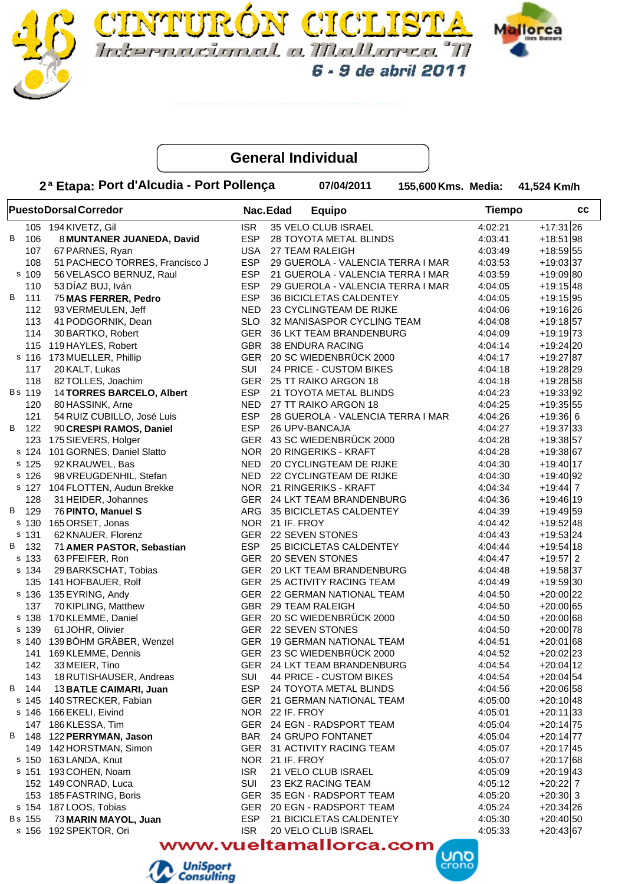



FURON CICLI

Internacional a Mallanca "M

6 - 9 de abril 2011

|          | 2ª Etapa: Port d'Alcudia - Port Pollença |            |                 | 07/04/2011                        | 155,600 Kms. Media: |               | 41,524 Km/h  |
|----------|------------------------------------------|------------|-----------------|-----------------------------------|---------------------|---------------|--------------|
|          | <b>PuestoDorsalCorredor</b>              | Nac.Edad   |                 | <b>Equipo</b>                     |                     | <b>Tiempo</b> | cc           |
|          | 105 194 KIVETZ, Gil                      | <b>ISR</b> |                 | 35 VELO CLUB ISRAEL               |                     | 4:02:21       | $+17:31$ 26  |
| В<br>106 | 8 MUNTANER JUANEDA, David                | <b>ESP</b> |                 | 28 TOYOTA METAL BLINDS            |                     | 4:03:41       | $+18:51 98$  |
| 107      | 67 PARNES, Ryan                          | <b>USA</b> |                 | 27 TEAM RALEIGH                   |                     | 4:03:49       | $+18:59 55$  |
| 108      | 51 PACHECO TORRES, Francisco J           | <b>ESP</b> |                 | 29 GUEROLA - VALENCIA TERRA I MAR |                     | 4:03:53       | $+19:03 37$  |
| s 109    | 56 VELASCO BERNUZ, Raul                  | <b>ESP</b> |                 | 21 GUEROLA - VALENCIA TERRA I MAR |                     | 4:03:59       | $+19:09 80$  |
| 110      | 53 DÍAZ BUJ, Iván                        | <b>ESP</b> |                 | 29 GUEROLA - VALENCIA TERRA I MAR |                     | 4:04:05       | $+19:15$ 48  |
| В<br>111 | 75 MAS FERRER, Pedro                     | <b>ESP</b> |                 | 36 BICICLETAS CALDENTEY           |                     | 4:04:05       | $+19:15$ 95  |
| 112      | 93 VERMEULEN, Jeff                       | <b>NED</b> |                 | 23 CYCLINGTEAM DE RIJKE           |                     | 4:04:06       | $+19:16$  26 |
| 113      | 41 PODGORNIK, Dean                       | <b>SLO</b> |                 | 32 MANISASPOR CYCLING TEAM        |                     | 4:04:08       | $+19:18$ 57  |
| 114      | 30 BARTKO, Robert                        |            |                 | GER 36 LKT TEAM BRANDENBURG       |                     | 4:04:09       | $+19:19$ 73  |
|          | 115 119 HAYLES, Robert                   |            |                 | GBR 38 ENDURA RACING              |                     | 4:04:14       | $+19:24 20$  |
| s 116    | 173 MUELLER, Phillip                     |            |                 | GER 20 SC WIEDENBRÜCK 2000        |                     | 4:04:17       | $+19:27 87$  |
| 117      | 20 KALT, Lukas                           | <b>SUI</b> |                 | 24 PRICE - CUSTOM BIKES           |                     | 4:04:18       | $+19:28$  29 |
| 118      | 82 TOLLES, Joachim                       |            |                 | GER 25 TT RAIKO ARGON 18          |                     | 4:04:18       | $+19:28$ 58  |
| Bs 119   | 14 TORRES BARCELO, Albert                | <b>ESP</b> |                 | 21 TOYOTA METAL BLINDS            |                     | 4:04:23       | $+19:33 92$  |
| 120      | 80 HASSINK, Arne                         | <b>NED</b> |                 | 27 TT RAIKO ARGON 18              |                     | 4:04:25       | $+19:35 55$  |
| 121      | 54 RUIZ CUBILLO, José Luis               | <b>ESP</b> |                 | 28 GUEROLA - VALENCIA TERRA I MAR |                     | 4:04:26       | $+19:36$ 6   |
| В<br>122 | 90 CRESPI RAMOS, Daniel                  | <b>ESP</b> |                 | 26 UPV-BANCAJA                    |                     | 4:04:27       | $+19:37$ 33  |
| 123      | 175 SIEVERS, Holger                      |            |                 | GER 43 SC WIEDENBRÜCK 2000        |                     | 4:04:28       | $+19:38$ 57  |
| s 124    | 101 GORNES, Daniel Slatto                | <b>NOR</b> |                 | 20 RINGERIKS - KRAFT              |                     | 4:04:28       | $+19:38 67$  |
| s 125    | 92 KRAUWEL, Bas                          | <b>NED</b> |                 | 20 CYCLINGTEAM DE RIJKE           |                     | 4:04:30       | $+19:40$ 17  |
| s 126    | 98 VREUGDENHIL, Stefan                   | <b>NED</b> |                 | 22 CYCLINGTEAM DE RIJKE           |                     | 4:04:30       | $+19:40$ 92  |
| s 127    | 104 FLOTTEN, Audun Brekke                |            |                 | NOR 21 RINGERIKS - KRAFT          |                     | 4:04:34       | $+19:44$ 7   |
| 128      | 31 HEIDER, Johannes                      |            |                 | GER 24 LKT TEAM BRANDENBURG       |                     | 4:04:36       | $+19:46$  19 |
| B 129    |                                          |            |                 |                                   |                     |               |              |
|          | 76 PINTO, Manuel S                       | ARG        |                 | 35 BICICLETAS CALDENTEY           |                     | 4:04:39       | $+19:49$ 59  |
|          | s 130 165 ORSET, Jonas                   |            | NOR 21 IF. FROY |                                   |                     | 4:04:42       | $+19:52 48$  |
| s 131    | 62 KNAUER, Florenz                       |            |                 | GER 22 SEVEN STONES               |                     | 4:04:43       | $+19:53 24$  |
| B 132    | 71 AMER PASTOR, Sebastian                | ESP        |                 | 25 BICICLETAS CALDENTEY           |                     | 4:04:44       | $+19:54$ 18  |
| s 133    | 63 PFEIFER, Ron                          | GER        |                 | 20 SEVEN STONES                   |                     | 4:04:47       | $+19:57$ 2   |
| s 134    | 29 BARKSCHAT, Tobias                     | GER        |                 | 20 LKT TEAM BRANDENBURG           |                     | 4:04:48       | $+19:58 37$  |
| 135      | 141 HOFBAUER, Rolf                       |            |                 | GER 25 ACTIVITY RACING TEAM       |                     | 4:04:49       | +19:59 30    |
| s 136    | 135 EYRING, Andy                         |            |                 | GER 22 GERMAN NATIONAL TEAM       |                     | 4:04:50       | $+20:00$  22 |
| 137      | 70 KIPLING, Matthew                      | <b>GBR</b> |                 | 29 TEAM RALEIGH                   |                     | 4:04:50       | $+20:00 65$  |
| s 138    | 170 KLEMME, Daniel                       |            |                 | GER 20 SC WIEDENBRÜCK 2000        |                     | 4:04:50       | $+20:00 68$  |
| s 139    | 61 JOHR, Olivier                         |            |                 | GER 22 SEVEN STONES               |                     | 4:04:50       | $+20:00 78$  |
|          | s 140 139 BÖHM GRÄBER, Wenzel            |            |                 | GER 19 GERMAN NATIONAL TEAM       |                     | 4:04:51       | $+20:01$ 68  |
|          | 141 169 KLEMME, Dennis                   |            |                 | GER 23 SC WIEDENBRÜCK 2000        |                     | 4:04:52       | $+20:02$ 23  |
| 142      | 33 MEIER, Tino                           |            |                 | GER 24 LKT TEAM BRANDENBURG       |                     | 4:04:54       | $+20:04$ 12  |
| 143      | 18 RUTISHAUSER, Andreas                  | SUI        |                 | 44 PRICE - CUSTOM BIKES           |                     | 4:04:54       | $+20:04$ 54  |
| B 144    | 13 BATLE CAIMARI, Juan                   | ESP        |                 | 24 TOYOTA METAL BLINDS            |                     | 4:04:56       | $+20:06$ 58  |
|          | s 145 140 STRECKER, Fabian               |            |                 | GER 21 GERMAN NATIONAL TEAM       |                     | 4:05:00       | $+20:10 48$  |
|          | s 146 166 EKELI, Eivind                  |            | NOR 22 IF. FROY |                                   |                     | 4:05:01       | $+20:11 33$  |
|          | 147 186 KLESSA, Tim                      |            |                 | GER 24 EGN - RADSPORT TEAM        |                     | 4:05:04       | $+20:14 75$  |
| B 148    | 122 PERRYMAN, Jason                      | BAR        |                 | 24 GRUPO FONTANET                 |                     | 4:05:04       | $+20:14 77$  |
|          | 149 142 HORSTMAN, Simon                  |            |                 | GER 31 ACTIVITY RACING TEAM       |                     | 4:05:07       | $+20:17$ 45  |
|          | s 150 163 LANDA, Knut                    |            | NOR 21 IF. FROY |                                   |                     | 4:05:07       | $+20:17$ 68  |
|          | s 151 193 COHEN, Noam                    | ISR.       |                 | 21 VELO CLUB ISRAEL               |                     | 4:05:09       | $+20:19$ 43  |
|          | 152 149 CONRAD, Luca                     | SUI        |                 | 23 EKZ RACING TEAM                |                     | 4:05:12       | +20:22 7     |
|          | 153 185 FASTRING, Boris                  |            |                 | GER 35 EGN - RADSPORT TEAM        |                     | 4:05:20       | $+20:30$ 3   |
|          | s 154 187 LOOS, Tobias                   |            |                 | GER 20 EGN - RADSPORT TEAM        |                     | 4:05:24       | $+20:34 26$  |
| Bs 155   | 73 MARIN MAYOL, Juan                     | ESP        |                 | 21 BICICLETAS CALDENTEY           |                     | 4:05:30       | $+20:40 50$  |
| s 156    | 192 SPEKTOR, Ori                         | <b>ISR</b> |                 | 20 VELO CLUB ISRAEL               |                     | 4:05:33       | $+20:43 67$  |



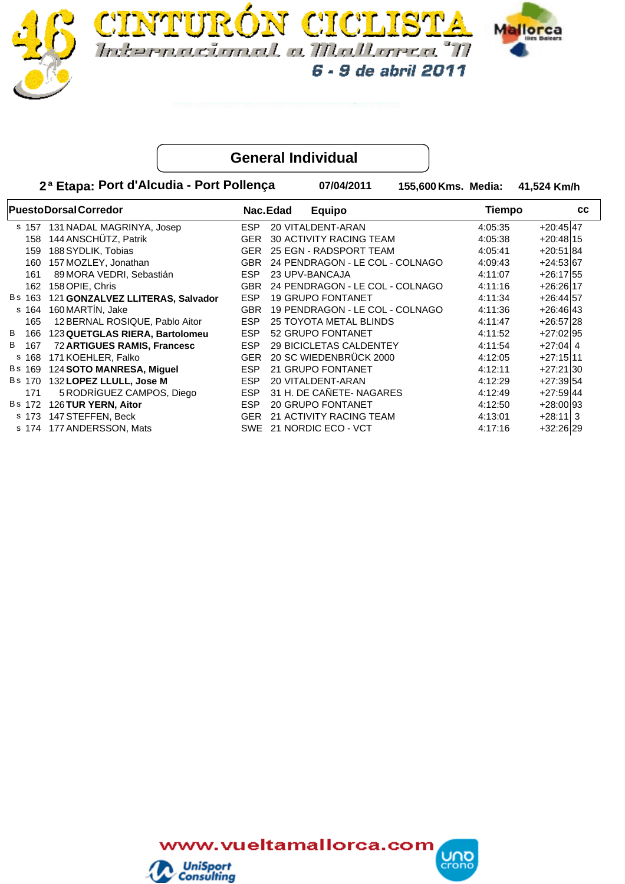



6 - 9 de abril 2011

**PuestoDorsalCorredor Example 20 and Series PuestoDorsalCorredor Equipo 2ª Etapa: Port d'Alcudia - Port Pollença 07/04/2011 Media: Km/h Tiempo 155,600 Kms. Media: Nac.Edad cc** s 157 VITALDENT-ARAN 131 NADAL MAGRINYA, Josep ESP 20 47 4:05:35 +20:45 158 144 ANSCHÜTZ, Patrik GER 30 ACTIVITY RACING TEAM 4:05:38 +20:48 15 159 EGN - RADSPORT TEAM 188SYDLIK, Tobias GER 25 84 4:05:41 +20:51 160 PERMOZLEY, Jonathan **160 COV CONTAGON - LE COL - COLNAGO** 157 MOZLEY, Jonathan 167 4:09:43 161 89 MORA VEDRI, Sebastián ESP 23 UPV-BANCAJA 4:11:07 +26:17 55 162 158 OPIE, Chris Chris Chris CHR 24 PENDRAGON - LE COL - COLNAGO 4:11:16 +26:26 17 Bs 163 121 **GONZALVEZ LLITERAS, Salvador** ESP 19 GRUPO FONTANET 4:11:34 +26:44 +26:44 + 7 s 164 PENDRAGON - LE COL - COLNAGO 160 MARTÍN, Jake GBR 19 43 4:11:36 +26:46 165 12 BERNAL ROSIQUE, Pablo Aitor ESP 25 TOYOTA METAL BLINDS 4:11:47 +26:57 28 B 166 123 **QUETGLAS RIERA, Bartolomeu** ESP 52 GRUPO FONTANET 4:11:52 +27:02 95 B 167 72 **ARTIGUES RAMIS, Francesc** ESP 29 BICICLETAS CALDENTEY 4:11:54 +27:04 4 s 168 171 KOEHLER, Falko GER 20 SC WIEDENBRÜCK 2000 4:12:05 +27:15 11 B s 169 124 **SOTO MANRESA, Miguel ESP** 21 GRUPO FONTANET 4:12:11 +27:21 30 B s 170 132 LOPEZ LLULL, Jose M **ESP 20 VITALDENT-ARAN** 4:12:29 +27:39 54 171 5 RODRÍGUEZ CAMPOS, Diego ESP 31 H. DE CAÑETE- NAGARES 4:12:49 +27:59 44 Bs 172 126 **TUR YERN, Aitor ESP 20 GRUPO FONTANET** 4:12:50 +28:00 93 s 173 147 STEFFEN, Beck GER 21 ACTIVITY RACING TEAM 4:13:01 +28:11 3 s 174 177 ANDERSSON, Mats SWE 21 NORDIC ECO - VCT 4:17:16 +32:26 29

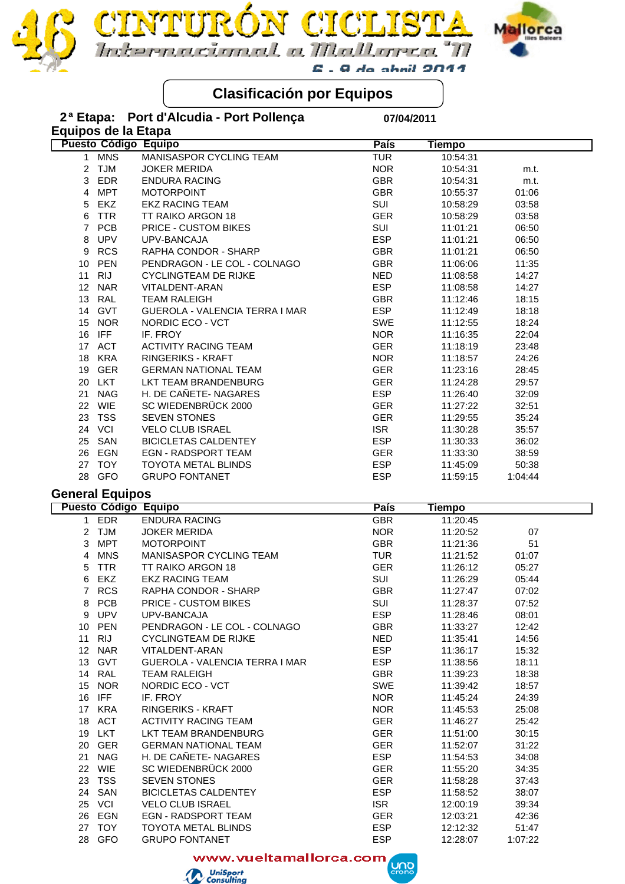

# **Clasificación por Equipos**

DN CICI

rmacional a Mallanea "N

 $E$  . A do chail 2011

| 2 <sup>a</sup> Etapa:  |            | Port d'Alcudia - Port Pollença               | 07/04/2011  |               |         |  |
|------------------------|------------|----------------------------------------------|-------------|---------------|---------|--|
|                        |            | Equipos de la Etapa                          |             |               |         |  |
|                        |            | Puesto Código Equipo                         | <b>País</b> | <b>Tiempo</b> |         |  |
| 1                      | <b>MNS</b> | MANISASPOR CYCLING TEAM                      | <b>TUR</b>  | 10:54:31      |         |  |
| $\overline{c}$         | <b>TJM</b> | <b>JOKER MERIDA</b>                          | <b>NOR</b>  | 10:54:31      | m.t.    |  |
| 3                      | EDR        | <b>ENDURA RACING</b>                         | <b>GBR</b>  | 10:54:31      | m.t.    |  |
| 4                      | <b>MPT</b> | <b>MOTORPOINT</b>                            | <b>GBR</b>  | 10:55:37      | 01:06   |  |
| 5                      | EKZ        | <b>EKZ RACING TEAM</b>                       | SUI         | 10:58:29      | 03:58   |  |
| 6                      | <b>TTR</b> | TT RAIKO ARGON 18                            | <b>GER</b>  | 10:58:29      | 03:58   |  |
| $\overline{7}$         | <b>PCB</b> | <b>PRICE - CUSTOM BIKES</b>                  | SUI         | 11:01:21      | 06:50   |  |
| 8                      | <b>UPV</b> | UPV-BANCAJA                                  | <b>ESP</b>  | 11:01:21      | 06:50   |  |
| 9                      | <b>RCS</b> | RAPHA CONDOR - SHARP                         | <b>GBR</b>  | 11:01:21      | 06:50   |  |
| 10                     | PEN        | PENDRAGON - LE COL - COLNAGO                 | <b>GBR</b>  | 11:06:06      | 11:35   |  |
| 11                     | <b>RIJ</b> | <b>CYCLINGTEAM DE RIJKE</b>                  | <b>NED</b>  | 11:08:58      | 14:27   |  |
|                        | 12 NAR     | VITALDENT-ARAN                               | <b>ESP</b>  | 11:08:58      | 14:27   |  |
|                        | 13 RAL     | <b>TEAM RALEIGH</b>                          | <b>GBR</b>  | 11:12:46      | 18:15   |  |
|                        | 14 GVT     | GUEROLA - VALENCIA TERRA I MAR               | <b>ESP</b>  |               | 18:18   |  |
|                        |            |                                              | SWE         | 11:12:49      |         |  |
| 15                     | <b>NOR</b> | NORDIC ECO - VCT                             |             | 11:12:55      | 18:24   |  |
|                        | 16 IFF     | IF. FROY                                     | <b>NOR</b>  | 11:16:35      | 22:04   |  |
|                        | 17 ACT     | <b>ACTIVITY RACING TEAM</b>                  | <b>GER</b>  | 11:18:19      | 23:48   |  |
| 18                     | <b>KRA</b> | RINGERIKS - KRAFT                            | <b>NOR</b>  | 11:18:57      | 24:26   |  |
| 19                     | GER        | <b>GERMAN NATIONAL TEAM</b>                  | <b>GER</b>  | 11:23:16      | 28:45   |  |
|                        | 20 LKT     | LKT TEAM BRANDENBURG                         | <b>GER</b>  | 11:24:28      | 29:57   |  |
| 21                     | <b>NAG</b> | H. DE CAÑETE- NAGARES                        | <b>ESP</b>  | 11:26:40      | 32:09   |  |
|                        | 22 WIE     | SC WIEDENBRÜCK 2000                          | <b>GER</b>  | 11:27:22      | 32:51   |  |
| 23                     | <b>TSS</b> | <b>SEVEN STONES</b>                          | <b>GER</b>  | 11:29:55      | 35:24   |  |
|                        | 24 VCI     | <b>VELO CLUB ISRAEL</b>                      | <b>ISR</b>  | 11:30:28      | 35:57   |  |
| 25                     | SAN        | <b>BICICLETAS CALDENTEY</b>                  | <b>ESP</b>  | 11:30:33      | 36:02   |  |
| 26                     | EGN        | EGN - RADSPORT TEAM                          | <b>GER</b>  | 11:33:30      | 38:59   |  |
|                        | 27 TOY     | <b>TOYOTA METAL BLINDS</b>                   | <b>ESP</b>  | 11:45:09      | 50:38   |  |
| 28                     | <b>GFO</b> | <b>GRUPO FONTANET</b>                        | <b>ESP</b>  | 11:59:15      | 1:04:44 |  |
| <b>General Equipos</b> |            |                                              |             |               |         |  |
|                        |            | <b>Puesto Código Equipo</b>                  | <b>País</b> | <b>Tiempo</b> |         |  |
| $\mathbf{1}$           | <b>EDR</b> | <b>ENDURA RACING</b>                         | <b>GBR</b>  | 11:20:45      |         |  |
| $\overline{2}$         | <b>TJM</b> | <b>JOKER MERIDA</b>                          | <b>NOR</b>  | 11:20:52      | 07      |  |
|                        |            |                                              |             |               |         |  |
| 3                      | <b>MPT</b> | <b>MOTORPOINT</b><br>MANISASPOR CYCLING TEAM | <b>GBR</b>  | 11:21:36      | 51      |  |
| 4                      | <b>MNS</b> |                                              | <b>TUR</b>  | 11:21:52      | 01:07   |  |
| 5                      | <b>TTR</b> | TT RAIKO ARGON 18                            | <b>GER</b>  | 11:26:12      | 05:27   |  |
| 6                      | EKZ        | <b>EKZ RACING TEAM</b>                       | SUI         | 11:26:29      | 05:44   |  |
|                        | 7 RCS      | RAPHA CONDOR - SHARP                         | <b>GBR</b>  | 11:27:47      | 07:02   |  |
| 8                      | <b>PCB</b> | <b>PRICE - CUSTOM BIKES</b>                  | SUI         | 11:28:37      | 07:52   |  |
|                        | 9 UPV      | UPV-BANCAJA                                  | <b>ESP</b>  | 11:28:46      | 08:01   |  |
| 10                     | PEN        | PENDRAGON - LE COL - COLNAGO                 | <b>GBR</b>  | 11:33:27      | 12:42   |  |
| 11                     | <b>RIJ</b> | <b>CYCLINGTEAM DE RIJKE</b>                  | <b>NED</b>  | 11:35:41      | 14:56   |  |
|                        | 12 NAR     | VITALDENT-ARAN                               | <b>ESP</b>  | 11:36:17      | 15:32   |  |
|                        | 13 GVT     | GUEROLA - VALENCIA TERRA I MAR               | <b>ESP</b>  | 11:38:56      | 18:11   |  |
|                        | 14 RAL     | <b>TEAM RALEIGH</b>                          | <b>GBR</b>  | 11:39:23      | 18:38   |  |
| 15                     | <b>NOR</b> | NORDIC ECO - VCT                             | SWE         | 11:39:42      | 18:57   |  |
|                        | 16 IFF     | IF. FROY                                     | <b>NOR</b>  | 11:45:24      | 24:39   |  |
|                        | 17 KRA     | RINGERIKS - KRAFT                            | <b>NOR</b>  | 11:45:53      | 25:08   |  |
|                        | 18 ACT     | <b>ACTIVITY RACING TEAM</b>                  | <b>GER</b>  | 11:46:27      | 25:42   |  |
|                        | 19 LKT     | LKT TEAM BRANDENBURG                         | <b>GER</b>  | 11:51:00      | 30:15   |  |
|                        | 20 GER     | <b>GERMAN NATIONAL TEAM</b>                  | <b>GER</b>  | 11:52:07      | 31:22   |  |
|                        | 21 NAG     | H. DE CAÑETE- NAGARES                        | <b>ESP</b>  | 11:54:53      | 34:08   |  |
|                        | 22 WIE     | SC WIEDENBRÜCK 2000                          | <b>GER</b>  | 11:55:20      | 34:35   |  |
| 23                     | <b>TSS</b> | <b>SEVEN STONES</b>                          | <b>GER</b>  | 11:58:28      | 37:43   |  |
|                        | 24 SAN     | <b>BICICLETAS CALDENTEY</b>                  | <b>ESP</b>  | 11:58:52      | 38:07   |  |
|                        | 25 VCI     | <b>VELO CLUB ISRAEL</b>                      | <b>ISR</b>  | 12:00:19      | 39:34   |  |
|                        | 26 EGN     | EGN - RADSPORT TEAM                          | <b>GER</b>  | 12:03:21      | 42:36   |  |
|                        | 27 TOY     | TOYOTA METAL BLINDS                          | <b>ESP</b>  | 12:12:32      | 51:47   |  |

www.vueltamallorca.com **UND** 

28 GFO GRUPO FONTANET **GEOGY CONTANET** ESP 12:28:07 1:07:22

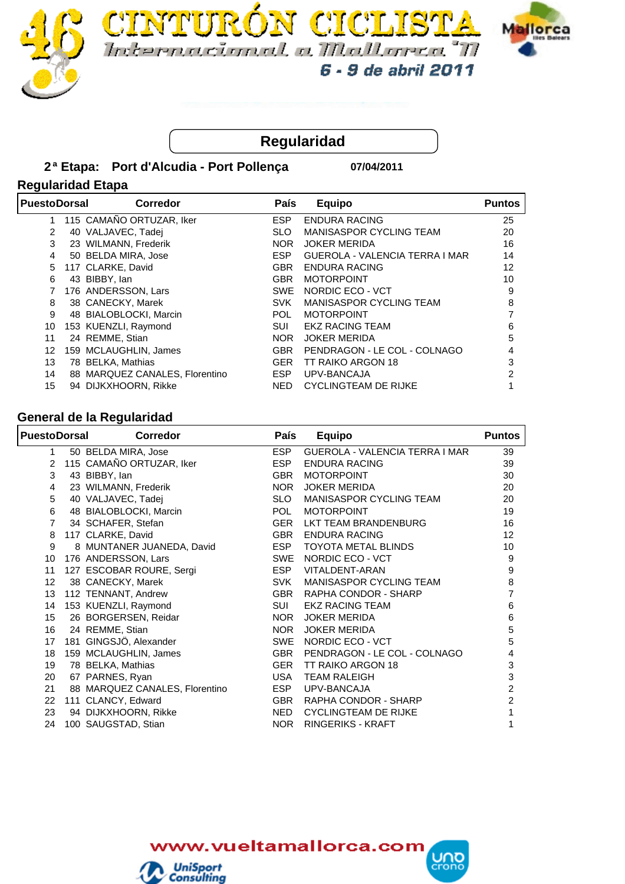





## **Regularidad**

#### **2 Port d'Alcudia - Port Pollença ª Etapa: 07/04/2011**

### **Regularidad Etapa**

| <b>PuestoDorsal</b> | <b>Corredor</b>                | <b>País</b> | Equipo                         | <b>Puntos</b> |
|---------------------|--------------------------------|-------------|--------------------------------|---------------|
| 1                   | 115 CAMAÑO ORTUZAR, Iker       | <b>ESP</b>  | <b>ENDURA RACING</b>           | 25            |
| 2                   | 40 VALJAVEC, Tadej             | <b>SLO</b>  | MANISASPOR CYCLING TEAM        | 20            |
| 3                   | 23 WILMANN, Frederik           | <b>NOR</b>  | <b>JOKER MERIDA</b>            | 16            |
| 4                   | 50 BELDA MIRA, Jose            | <b>ESP</b>  | GUEROLA - VALENCIA TERRA I MAR | 14            |
| 5                   | 117 CLARKE, David              | <b>GBR</b>  | <b>ENDURA RACING</b>           | 12            |
| 6                   | 43 BIBBY, lan                  | <b>GBR</b>  | <b>MOTORPOINT</b>              | 10            |
|                     | 176 ANDERSSON, Lars            | SWE         | NORDIC ECO - VCT               | 9             |
| 8                   | 38 CANECKY, Marek              | <b>SVK</b>  | MANISASPOR CYCLING TEAM        | 8             |
| 9                   | 48 BIALOBLOCKI, Marcin         | <b>POL</b>  | <b>MOTORPOINT</b>              |               |
| 10                  | 153 KUENZLI, Raymond           | <b>SUI</b>  | <b>EKZ RACING TEAM</b>         | 6             |
| 11                  | 24 REMME, Stian                | NOR.        | <b>JOKER MERIDA</b>            | 5             |
| 12                  | 159 MCLAUGHLIN, James          | <b>GBR</b>  | PENDRAGON - LE COL - COLNAGO   |               |
| 13                  | 78 BELKA, Mathias              | <b>GER</b>  | TT RAIKO ARGON 18              | 3             |
| 14                  | 88 MARQUEZ CANALES, Florentino | ESP         | UPV-BANCAJA                    | 2             |
| 15                  | 94 DIJKXHOORN, Rikke           | NED         | <b>CYCLINGTEAM DE RIJKE</b>    |               |

#### **General de la Regularidad**

| <b>Corredor</b> | <b>País</b>                                                                                                                                                                                                                                                                                                                                                                                                                                                                                                                                                                                                 | <b>Equipo</b>                  | <b>Puntos</b>             |
|-----------------|-------------------------------------------------------------------------------------------------------------------------------------------------------------------------------------------------------------------------------------------------------------------------------------------------------------------------------------------------------------------------------------------------------------------------------------------------------------------------------------------------------------------------------------------------------------------------------------------------------------|--------------------------------|---------------------------|
|                 | <b>ESP</b>                                                                                                                                                                                                                                                                                                                                                                                                                                                                                                                                                                                                  | GUEROLA - VALENCIA TERRA I MAR | 39                        |
|                 | <b>ESP</b>                                                                                                                                                                                                                                                                                                                                                                                                                                                                                                                                                                                                  | ENDURA RACING                  | 39                        |
|                 | <b>GBR</b>                                                                                                                                                                                                                                                                                                                                                                                                                                                                                                                                                                                                  | <b>MOTORPOINT</b>              | 30                        |
|                 | <b>NOR</b>                                                                                                                                                                                                                                                                                                                                                                                                                                                                                                                                                                                                  | <b>JOKER MERIDA</b>            | 20                        |
|                 | <b>SLO</b>                                                                                                                                                                                                                                                                                                                                                                                                                                                                                                                                                                                                  | MANISASPOR CYCLING TEAM        | 20                        |
|                 | <b>POL</b>                                                                                                                                                                                                                                                                                                                                                                                                                                                                                                                                                                                                  | <b>MOTORPOINT</b>              | 19                        |
|                 | GER                                                                                                                                                                                                                                                                                                                                                                                                                                                                                                                                                                                                         | LKT TEAM BRANDENBURG           | 16                        |
|                 | GBR                                                                                                                                                                                                                                                                                                                                                                                                                                                                                                                                                                                                         | <b>ENDURA RACING</b>           | 12                        |
|                 | ESP                                                                                                                                                                                                                                                                                                                                                                                                                                                                                                                                                                                                         | <b>TOYOTA METAL BLINDS</b>     | 10                        |
|                 | <b>SWE</b>                                                                                                                                                                                                                                                                                                                                                                                                                                                                                                                                                                                                  | NORDIC ECO - VCT               | 9                         |
|                 | <b>ESP</b>                                                                                                                                                                                                                                                                                                                                                                                                                                                                                                                                                                                                  | VITALDENT-ARAN                 | $\boldsymbol{9}$          |
|                 | <b>SVK</b>                                                                                                                                                                                                                                                                                                                                                                                                                                                                                                                                                                                                  | MANISASPOR CYCLING TEAM        | 8                         |
|                 | GBR                                                                                                                                                                                                                                                                                                                                                                                                                                                                                                                                                                                                         | RAPHA CONDOR - SHARP           | 7                         |
|                 | SUI                                                                                                                                                                                                                                                                                                                                                                                                                                                                                                                                                                                                         | <b>EKZ RACING TEAM</b>         | 6                         |
|                 | <b>NOR</b>                                                                                                                                                                                                                                                                                                                                                                                                                                                                                                                                                                                                  | <b>JOKER MERIDA</b>            | 6                         |
|                 | <b>NOR</b>                                                                                                                                                                                                                                                                                                                                                                                                                                                                                                                                                                                                  | <b>JOKER MERIDA</b>            | 5                         |
|                 | SWE                                                                                                                                                                                                                                                                                                                                                                                                                                                                                                                                                                                                         | NORDIC ECO - VCT               | 5                         |
|                 | GBR                                                                                                                                                                                                                                                                                                                                                                                                                                                                                                                                                                                                         | PENDRAGON - LE COL - COLNAGO   | 4                         |
|                 | GER                                                                                                                                                                                                                                                                                                                                                                                                                                                                                                                                                                                                         | TT RAIKO ARGON 18              | $\ensuremath{\mathsf{3}}$ |
|                 | USA                                                                                                                                                                                                                                                                                                                                                                                                                                                                                                                                                                                                         | <b>TEAM RALEIGH</b>            | $\ensuremath{\mathsf{3}}$ |
|                 | <b>ESP</b>                                                                                                                                                                                                                                                                                                                                                                                                                                                                                                                                                                                                  | UPV-BANCAJA                    | $\overline{c}$            |
|                 | <b>GBR</b>                                                                                                                                                                                                                                                                                                                                                                                                                                                                                                                                                                                                  | RAPHA CONDOR - SHARP           | $\overline{c}$            |
|                 | <b>NED</b>                                                                                                                                                                                                                                                                                                                                                                                                                                                                                                                                                                                                  | <b>CYCLINGTEAM DE RIJKE</b>    | 1                         |
|                 | <b>NOR</b>                                                                                                                                                                                                                                                                                                                                                                                                                                                                                                                                                                                                  | <b>RINGERIKS - KRAFT</b>       |                           |
|                 | <b>PuestoDorsal</b><br>50 BELDA MIRA, Jose<br>115 CAMAÑO ORTUZAR, Iker<br>43 BIBBY, lan<br>23 WILMANN, Frederik<br>40 VALJAVEC, Tadej<br>48 BIALOBLOCKI, Marcin<br>34 SCHAFER, Stefan<br>117 CLARKE, David<br>8 MUNTANER JUANEDA, David<br>176 ANDERSSON, Lars<br>127 ESCOBAR ROURE, Sergi<br>38 CANECKY, Marek<br>112 TENNANT, Andrew<br>153 KUENZLI, Raymond<br>26 BORGERSEN, Reidar<br>24 REMME, Stian<br>181 GINGSJÖ, Alexander<br>159 MCLAUGHLIN, James<br>78 BELKA, Mathias<br>67 PARNES, Ryan<br>88 MARQUEZ CANALES, Florentino<br>111 CLANCY, Edward<br>94 DIJKXHOORN, Rikke<br>100 SAUGSTAD, Stian |                                |                           |

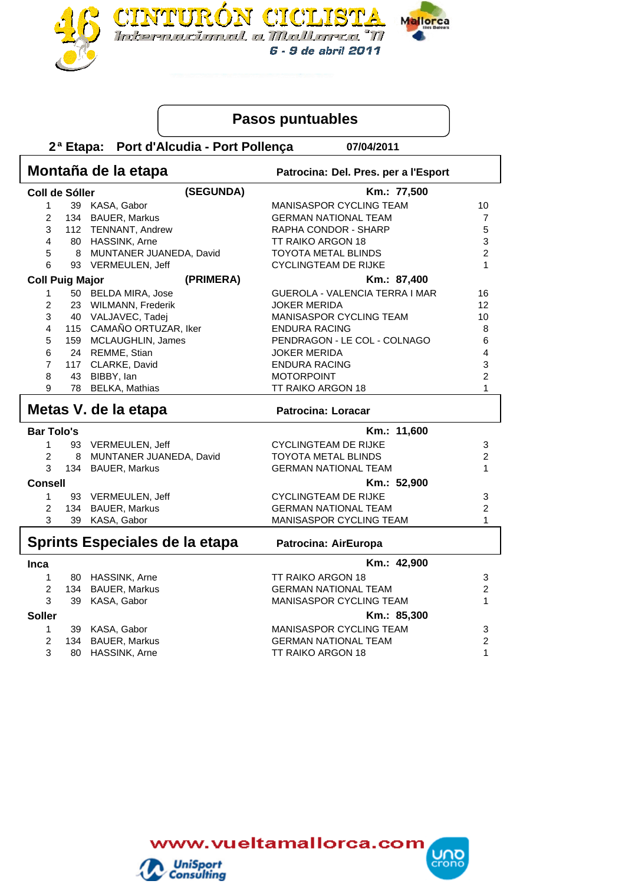

## **Pasos puntuables**

 **2 Port d'Alcudia - Port Pollença ª Etapa: 07/04/2011**

|                        | Montaña de la etapa<br>Patrocina: Del. Pres. per a l'Esport |                                    |                                                  |                                |  |  |
|------------------------|-------------------------------------------------------------|------------------------------------|--------------------------------------------------|--------------------------------|--|--|
| Coll de Sóller         |                                                             | (SEGUNDA)                          | Km.: 77,500                                      |                                |  |  |
| 1                      |                                                             | 39 KASA, Gabor                     | MANISASPOR CYCLING TEAM                          | 10                             |  |  |
| $\overline{2}$         |                                                             | 134 BAUER, Markus                  | <b>GERMAN NATIONAL TEAM</b>                      | $\overline{7}$                 |  |  |
| 3                      |                                                             | 112 TENNANT, Andrew                | RAPHA CONDOR - SHARP                             | 5                              |  |  |
| 4                      |                                                             | 80 HASSINK, Arne                   | TT RAIKO ARGON 18                                | 3                              |  |  |
| 5                      |                                                             | 8 MUNTANER JUANEDA, David          | <b>TOYOTA METAL BLINDS</b>                       | $\overline{2}$                 |  |  |
| 6                      |                                                             | 93 VERMEULEN, Jeff                 | <b>CYCLINGTEAM DE RIJKE</b>                      | 1                              |  |  |
| <b>Coll Puig Major</b> |                                                             | (PRIMERA)                          | Km.: 87,400                                      |                                |  |  |
| 1                      |                                                             | 50 BELDA MIRA, Jose                | GUEROLA - VALENCIA TERRA I MAR                   | 16                             |  |  |
| $\overline{c}$         |                                                             | 23 WILMANN, Frederik               | <b>JOKER MERIDA</b>                              | 12                             |  |  |
| 3                      |                                                             | 40 VALJAVEC, Tadej                 | MANISASPOR CYCLING TEAM                          | 10                             |  |  |
| 4                      |                                                             | 115 CAMAÑO ORTUZAR, Iker           | <b>ENDURA RACING</b>                             | 8                              |  |  |
| 5                      |                                                             | 159 MCLAUGHLIN, James              | PENDRAGON - LE COL - COLNAGO                     | 6                              |  |  |
| 6                      |                                                             | 24 REMME, Stian                    | <b>JOKER MERIDA</b>                              | 4                              |  |  |
| $\overline{7}$         |                                                             | 117 CLARKE, David                  | <b>ENDURA RACING</b>                             | 3                              |  |  |
| 8                      |                                                             | 43 BIBBY, lan                      | <b>MOTORPOINT</b>                                | $\overline{c}$                 |  |  |
| 9                      |                                                             | 78 BELKA, Mathias                  | TT RAIKO ARGON 18                                | 1                              |  |  |
| Metas V. de la etapa   |                                                             |                                    | <b>Patrocina: Loracar</b>                        |                                |  |  |
| <b>Bar Tolo's</b>      |                                                             |                                    | Km.: 11,600                                      |                                |  |  |
| 1                      |                                                             | 93 VERMEULEN, Jeff                 | <b>CYCLINGTEAM DE RIJKE</b>                      | 3                              |  |  |
| $\overline{2}$         | 8                                                           | MUNTANER JUANEDA, David            | <b>TOYOTA METAL BLINDS</b>                       | $\overline{c}$                 |  |  |
| 3                      |                                                             | 134 BAUER, Markus                  | <b>GERMAN NATIONAL TEAM</b>                      | $\mathbf{1}$                   |  |  |
| Consell                |                                                             |                                    | Km.: 52,900                                      |                                |  |  |
| 1                      |                                                             | 93 VERMEULEN, Jeff                 | <b>CYCLINGTEAM DE RIJKE</b>                      | 3                              |  |  |
| $\overline{2}$         | 134                                                         | <b>BAUER, Markus</b>               | <b>GERMAN NATIONAL TEAM</b>                      | $\overline{c}$                 |  |  |
| 3                      |                                                             | 39 KASA, Gabor                     | MANISASPOR CYCLING TEAM                          | 1                              |  |  |
|                        |                                                             | Sprints Especiales de la etapa     | Patrocina: AirEuropa                             |                                |  |  |
| Inca                   |                                                             |                                    | Km.: 42,900                                      |                                |  |  |
| 1                      |                                                             | 80 HASSINK, Arne                   | <b>TT RAIKO ARGON 18</b>                         | 3                              |  |  |
| $\overline{2}$         | 134                                                         | <b>BAUER, Markus</b>               | <b>GERMAN NATIONAL TEAM</b>                      | $\overline{c}$                 |  |  |
|                        |                                                             |                                    |                                                  |                                |  |  |
| 3                      | 39                                                          | KASA, Gabor                        | MANISASPOR CYCLING TEAM                          | 1                              |  |  |
|                        |                                                             |                                    |                                                  |                                |  |  |
| <b>Soller</b>          |                                                             |                                    | Km.: 85,300                                      |                                |  |  |
| $\mathbf{1}$           |                                                             | 39 KASA, Gabor                     | MANISASPOR CYCLING TEAM                          | 3                              |  |  |
| $\overline{2}$<br>3    | 80                                                          | 134 BAUER, Markus<br>HASSINK, Arne | <b>GERMAN NATIONAL TEAM</b><br>TT RAIKO ARGON 18 | $\overline{c}$<br>$\mathbf{1}$ |  |  |